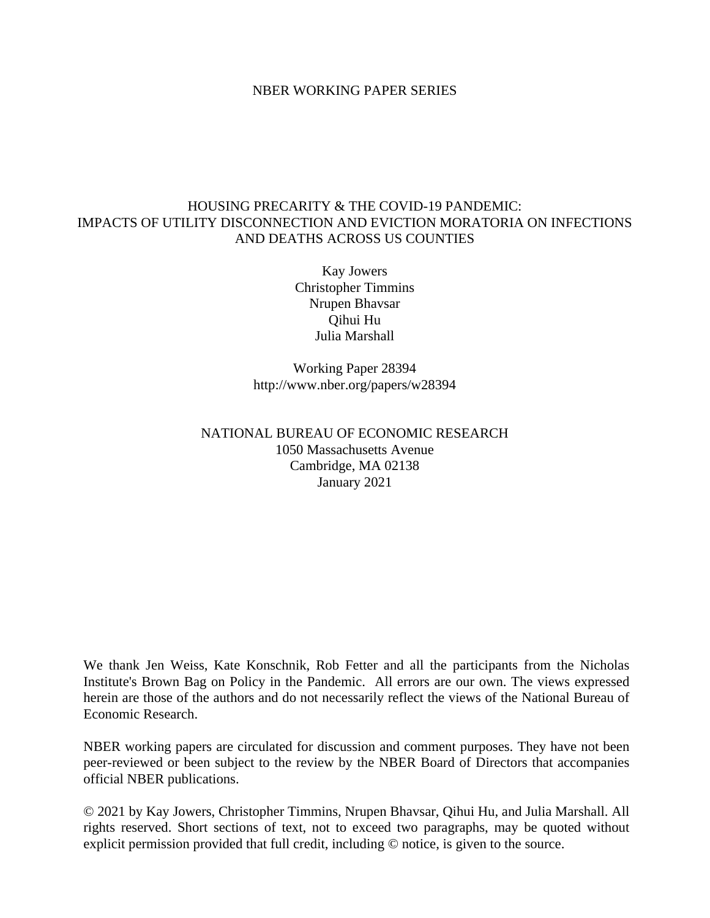#### NBER WORKING PAPER SERIES

#### HOUSING PRECARITY & THE COVID-19 PANDEMIC: IMPACTS OF UTILITY DISCONNECTION AND EVICTION MORATORIA ON INFECTIONS AND DEATHS ACROSS US COUNTIES

Kay Jowers Christopher Timmins Nrupen Bhavsar Qihui Hu Julia Marshall

Working Paper 28394 http://www.nber.org/papers/w28394

NATIONAL BUREAU OF ECONOMIC RESEARCH 1050 Massachusetts Avenue Cambridge, MA 02138 January 2021

We thank Jen Weiss, Kate Konschnik, Rob Fetter and all the participants from the Nicholas Institute's Brown Bag on Policy in the Pandemic. All errors are our own. The views expressed herein are those of the authors and do not necessarily reflect the views of the National Bureau of Economic Research.

NBER working papers are circulated for discussion and comment purposes. They have not been peer-reviewed or been subject to the review by the NBER Board of Directors that accompanies official NBER publications.

© 2021 by Kay Jowers, Christopher Timmins, Nrupen Bhavsar, Qihui Hu, and Julia Marshall. All rights reserved. Short sections of text, not to exceed two paragraphs, may be quoted without explicit permission provided that full credit, including © notice, is given to the source.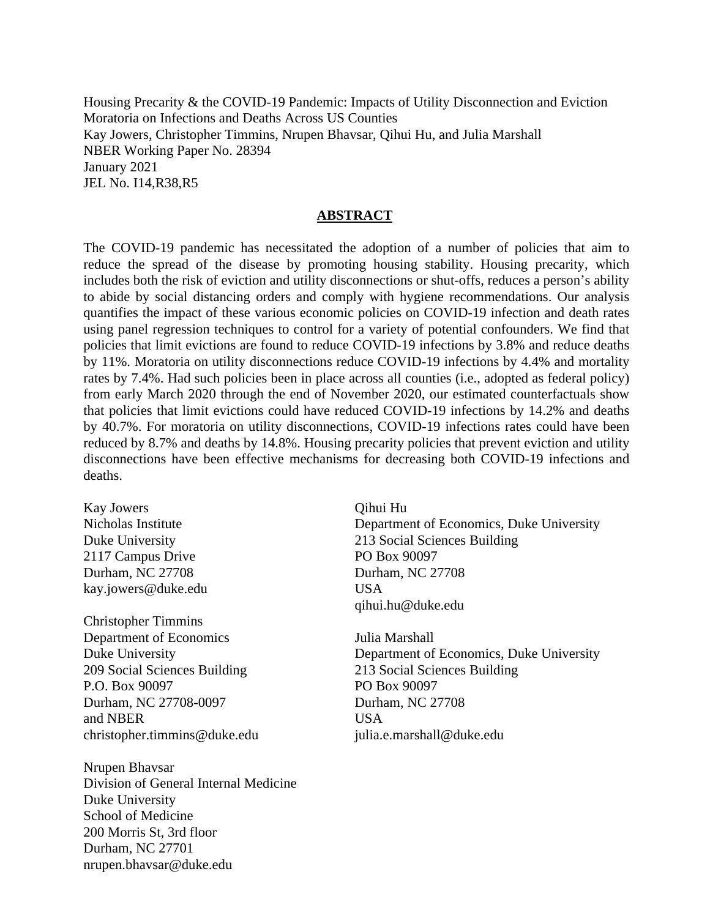Housing Precarity & the COVID-19 Pandemic: Impacts of Utility Disconnection and Eviction Moratoria on Infections and Deaths Across US Counties Kay Jowers, Christopher Timmins, Nrupen Bhavsar, Qihui Hu, and Julia Marshall NBER Working Paper No. 28394 January 2021 JEL No. I14,R38,R5

#### **ABSTRACT**

The COVID-19 pandemic has necessitated the adoption of a number of policies that aim to reduce the spread of the disease by promoting housing stability. Housing precarity, which includes both the risk of eviction and utility disconnections or shut-offs, reduces a person's ability to abide by social distancing orders and comply with hygiene recommendations. Our analysis quantifies the impact of these various economic policies on COVID-19 infection and death rates using panel regression techniques to control for a variety of potential confounders. We find that policies that limit evictions are found to reduce COVID-19 infections by 3.8% and reduce deaths by 11%. Moratoria on utility disconnections reduce COVID-19 infections by 4.4% and mortality rates by 7.4%. Had such policies been in place across all counties (i.e., adopted as federal policy) from early March 2020 through the end of November 2020, our estimated counterfactuals show that policies that limit evictions could have reduced COVID-19 infections by 14.2% and deaths by 40.7%. For moratoria on utility disconnections, COVID-19 infections rates could have been reduced by 8.7% and deaths by 14.8%. Housing precarity policies that prevent eviction and utility disconnections have been effective mechanisms for decreasing both COVID-19 infections and deaths.

Kay Jowers Nicholas Institute Duke University 2117 Campus Drive Durham, NC 27708 kay.jowers@duke.edu

Christopher Timmins Department of Economics Duke University 209 Social Sciences Building P.O. Box 90097 Durham, NC 27708-0097 and NBER christopher.timmins@duke.edu

Nrupen Bhavsar Division of General Internal Medicine Duke University School of Medicine 200 Morris St, 3rd floor Durham, NC 27701 nrupen.bhavsar@duke.edu

Qihui Hu Department of Economics, Duke University 213 Social Sciences Building PO Box 90097 Durham, NC 27708 USA qihui.hu@duke.edu

Julia Marshall Department of Economics, Duke University 213 Social Sciences Building PO Box 90097 Durham, NC 27708 USA julia.e.marshall@duke.edu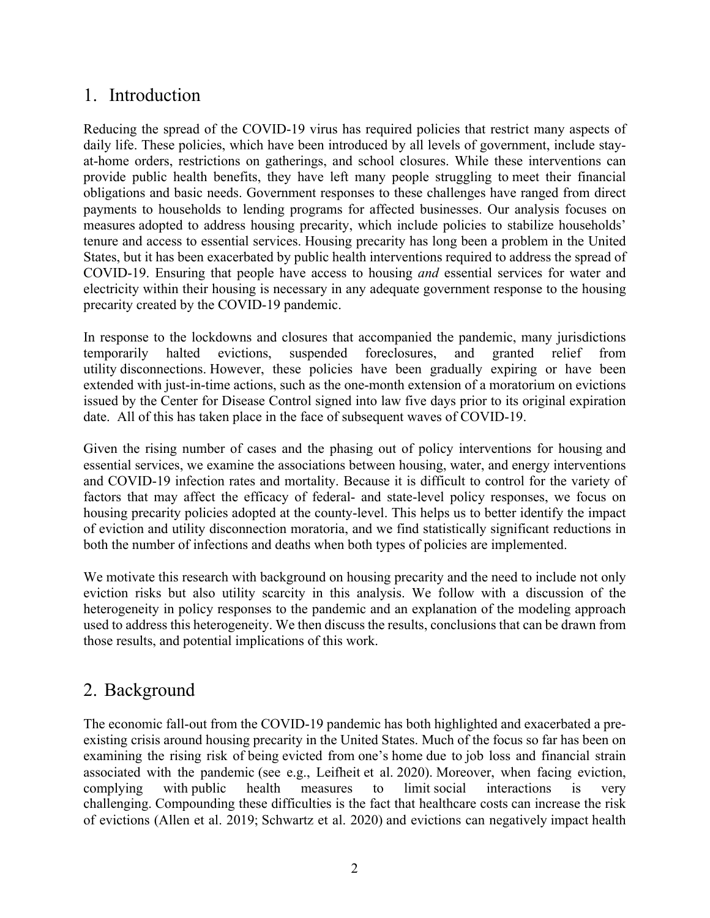## 1. Introduction

Reducing the spread of the COVID-19 virus has required policies that restrict many aspects of daily life. These policies, which have been introduced by all levels of government, include stayat-home orders, restrictions on gatherings, and school closures. While these interventions can provide public health benefits, they have left many people struggling to meet their financial obligations and basic needs. Government responses to these challenges have ranged from direct payments to households to lending programs for affected businesses. Our analysis focuses on measures adopted to address housing precarity, which include policies to stabilize households' tenure and access to essential services. Housing precarity has long been a problem in the United States, but it has been exacerbated by public health interventions required to address the spread of COVID-19. Ensuring that people have access to housing *and* essential services for water and electricity within their housing is necessary in any adequate government response to the housing precarity created by the COVID-19 pandemic.

In response to the lockdowns and closures that accompanied the pandemic, many jurisdictions temporarily halted evictions, suspended foreclosures, and granted relief from utility disconnections. However, these policies have been gradually expiring or have been extended with just-in-time actions, such as the one-month extension of a moratorium on evictions issued by the Center for Disease Control signed into law five days prior to its original expiration date. All of this has taken place in the face of subsequent waves of COVID-19.

Given the rising number of cases and the phasing out of policy interventions for housing and essential services, we examine the associations between housing, water, and energy interventions and COVID-19 infection rates and mortality. Because it is difficult to control for the variety of factors that may affect the efficacy of federal- and state-level policy responses, we focus on housing precarity policies adopted at the county-level. This helps us to better identify the impact of eviction and utility disconnection moratoria, and we find statistically significant reductions in both the number of infections and deaths when both types of policies are implemented.

We motivate this research with background on housing precarity and the need to include not only eviction risks but also utility scarcity in this analysis. We follow with a discussion of the heterogeneity in policy responses to the pandemic and an explanation of the modeling approach used to address this heterogeneity. We then discuss the results, conclusions that can be drawn from those results, and potential implications of this work.

## 2. Background

The economic fall-out from the COVID-19 pandemic has both highlighted and exacerbated a preexisting crisis around housing precarity in the United States. Much of the focus so far has been on examining the rising risk of being evicted from one's home due to job loss and financial strain associated with the pandemic (see e.g., Leifheit et al. 2020). Moreover, when facing eviction, complying with public health measures to limit social interactions is very challenging. Compounding these difficulties is the fact that healthcare costs can increase the risk of evictions (Allen et al. 2019; Schwartz et al. 2020) and evictions can negatively impact health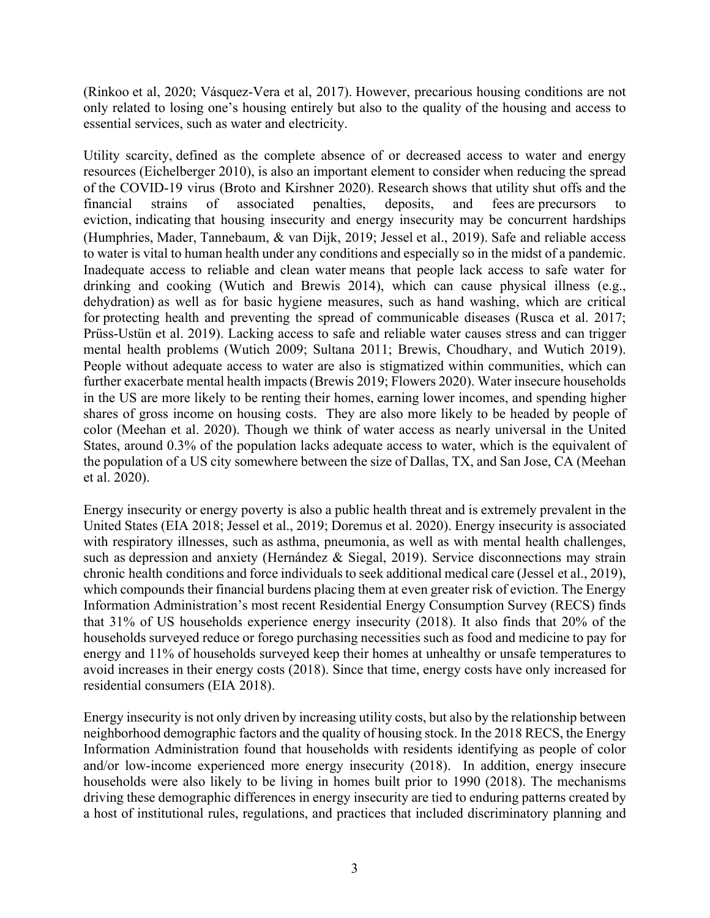(Rinkoo et al, 2020; Vásquez-Vera et al, 2017). However, precarious housing conditions are not only related to losing one's housing entirely but also to the quality of the housing and access to essential services, such as water and electricity.

Utility scarcity, defined as the complete absence of or decreased access to water and energy resources (Eichelberger 2010), is also an important element to consider when reducing the spread of the COVID-19 virus (Broto and Kirshner 2020). Research shows that utility shut offs and the financial strains of associated penalties, deposits, and fees are precursors to eviction, indicating that housing insecurity and energy insecurity may be concurrent hardships (Humphries, Mader, Tannebaum, & van Dijk, 2019; Jessel et al., 2019). Safe and reliable access to water is vital to human health under any conditions and especially so in the midst of a pandemic. Inadequate access to reliable and clean water means that people lack access to safe water for drinking and cooking (Wutich and Brewis 2014), which can cause physical illness (e.g., dehydration) as well as for basic hygiene measures, such as hand washing, which are critical for protecting health and preventing the spread of communicable diseases (Rusca et al. 2017; Prüss-Ustün et al. 2019). Lacking access to safe and reliable water causes stress and can trigger mental health problems (Wutich 2009; Sultana 2011; Brewis, Choudhary, and Wutich 2019). People without adequate access to water are also is stigmatized within communities, which can further exacerbate mental health impacts (Brewis 2019; Flowers 2020). Water insecure households in the US are more likely to be renting their homes, earning lower incomes, and spending higher shares of gross income on housing costs. They are also more likely to be headed by people of color (Meehan et al. 2020). Though we think of water access as nearly universal in the United States, around 0.3% of the population lacks adequate access to water, which is the equivalent of the population of a US city somewhere between the size of Dallas, TX, and San Jose, CA (Meehan et al. 2020).

Energy insecurity or energy poverty is also a public health threat and is extremely prevalent in the United States (EIA 2018; Jessel et al., 2019; Doremus et al. 2020). Energy insecurity is associated with respiratory illnesses, such as asthma, pneumonia, as well as with mental health challenges, such as depression and anxiety (Hernández & Siegal, 2019). Service disconnections may strain chronic health conditions and force individuals to seek additional medical care (Jessel et al., 2019), which compounds their financial burdens placing them at even greater risk of eviction. The Energy Information Administration's most recent Residential Energy Consumption Survey (RECS) finds that 31% of US households experience energy insecurity (2018). It also finds that 20% of the households surveyed reduce or forego purchasing necessities such as food and medicine to pay for energy and 11% of households surveyed keep their homes at unhealthy or unsafe temperatures to avoid increases in their energy costs (2018). Since that time, energy costs have only increased for residential consumers (EIA 2018).

Energy insecurity is not only driven by increasing utility costs, but also by the relationship between neighborhood demographic factors and the quality of housing stock. In the 2018 RECS, the Energy Information Administration found that households with residents identifying as people of color and/or low-income experienced more energy insecurity (2018). In addition, energy insecure households were also likely to be living in homes built prior to 1990 (2018). The mechanisms driving these demographic differences in energy insecurity are tied to enduring patterns created by a host of institutional rules, regulations, and practices that included discriminatory planning and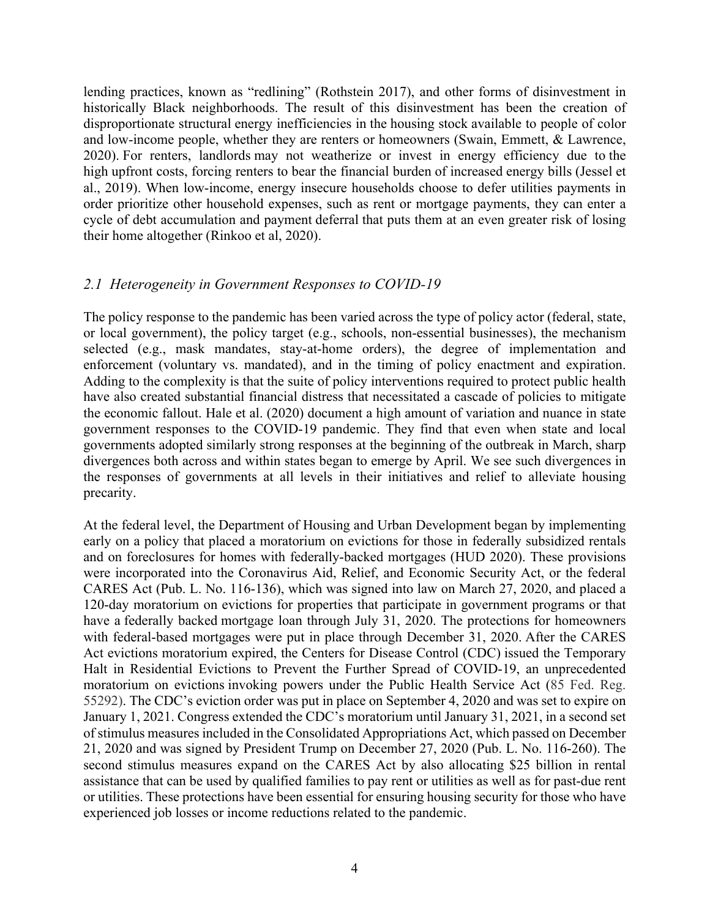lending practices, known as "redlining" (Rothstein 2017), and other forms of disinvestment in historically Black neighborhoods. The result of this disinvestment has been the creation of disproportionate structural energy inefficiencies in the housing stock available to people of color and low-income people, whether they are renters or homeowners (Swain, Emmett, & Lawrence, 2020). For renters, landlords may not weatherize or invest in energy efficiency due to the high upfront costs, forcing renters to bear the financial burden of increased energy bills (Jessel et al., 2019). When low-income, energy insecure households choose to defer utilities payments in order prioritize other household expenses, such as rent or mortgage payments, they can enter a cycle of debt accumulation and payment deferral that puts them at an even greater risk of losing their home altogether (Rinkoo et al, 2020).

#### *2.1 Heterogeneity in Government Responses to COVID-19*

The policy response to the pandemic has been varied across the type of policy actor (federal, state, or local government), the policy target (e.g., schools, non-essential businesses), the mechanism selected (e.g., mask mandates, stay-at-home orders), the degree of implementation and enforcement (voluntary vs. mandated), and in the timing of policy enactment and expiration. Adding to the complexity is that the suite of policy interventions required to protect public health have also created substantial financial distress that necessitated a cascade of policies to mitigate the economic fallout. Hale et al. (2020) document a high amount of variation and nuance in state government responses to the COVID-19 pandemic. They find that even when state and local governments adopted similarly strong responses at the beginning of the outbreak in March, sharp divergences both across and within states began to emerge by April. We see such divergences in the responses of governments at all levels in their initiatives and relief to alleviate housing precarity.

At the federal level, the Department of Housing and Urban Development began by implementing early on a policy that placed a moratorium on evictions for those in federally subsidized rentals and on foreclosures for homes with federally-backed mortgages (HUD 2020). These provisions were incorporated into the Coronavirus Aid, Relief, and Economic Security Act, or the federal CARES Act (Pub. L. No. 116-136), which was signed into law on March 27, 2020, and placed a 120-day moratorium on evictions for properties that participate in government programs or that have a federally backed mortgage loan through July 31, 2020. The protections for homeowners with federal-based mortgages were put in place through December 31, 2020. After the CARES Act evictions moratorium expired, the Centers for Disease Control (CDC) issued the Temporary Halt in Residential Evictions to Prevent the Further Spread of COVID-19, an unprecedented moratorium on evictions invoking powers under the Public Health Service Act (85 Fed. Reg. 55292). The CDC's eviction order was put in place on September 4, 2020 and was set to expire on January 1, 2021. Congress extended the CDC's moratorium until January 31, 2021, in a second set of stimulus measures included in the Consolidated Appropriations Act, which passed on December 21, 2020 and was signed by President Trump on December 27, 2020 (Pub. L. No. 116-260). The second stimulus measures expand on the CARES Act by also allocating \$25 billion in rental assistance that can be used by qualified families to pay rent or utilities as well as for past-due rent or utilities. These protections have been essential for ensuring housing security for those who have experienced job losses or income reductions related to the pandemic.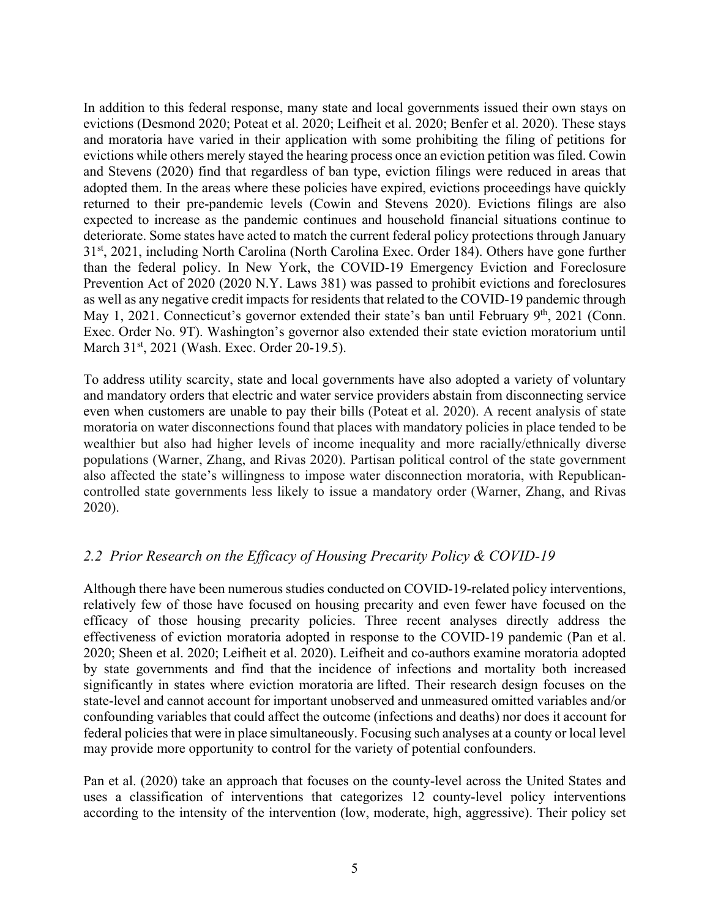In addition to this federal response, many state and local governments issued their own stays on evictions (Desmond 2020; Poteat et al. 2020; Leifheit et al. 2020; Benfer et al. 2020). These stays and moratoria have varied in their application with some prohibiting the filing of petitions for evictions while others merely stayed the hearing process once an eviction petition was filed. Cowin and Stevens (2020) find that regardless of ban type, eviction filings were reduced in areas that adopted them. In the areas where these policies have expired, evictions proceedings have quickly returned to their pre-pandemic levels (Cowin and Stevens 2020). Evictions filings are also expected to increase as the pandemic continues and household financial situations continue to deteriorate. Some states have acted to match the current federal policy protections through January 31st, 2021, including North Carolina (North Carolina Exec. Order 184). Others have gone further than the federal policy. In New York, the COVID-19 Emergency Eviction and Foreclosure Prevention Act of 2020 (2020 N.Y. Laws 381) was passed to prohibit evictions and foreclosures as well as any negative credit impacts for residents that related to the COVID-19 pandemic through May 1, 2021. Connecticut's governor extended their state's ban until February 9<sup>th</sup>, 2021 (Conn. Exec. Order No. 9T). Washington's governor also extended their state eviction moratorium until March 31<sup>st</sup>, 2021 (Wash. Exec. Order 20-19.5).

To address utility scarcity, state and local governments have also adopted a variety of voluntary and mandatory orders that electric and water service providers abstain from disconnecting service even when customers are unable to pay their bills (Poteat et al. 2020). A recent analysis of state moratoria on water disconnections found that places with mandatory policies in place tended to be wealthier but also had higher levels of income inequality and more racially/ethnically diverse populations (Warner, Zhang, and Rivas 2020). Partisan political control of the state government also affected the state's willingness to impose water disconnection moratoria, with Republicancontrolled state governments less likely to issue a mandatory order (Warner, Zhang, and Rivas 2020).

### *2.2 Prior Research on the Efficacy of Housing Precarity Policy & COVID-19*

Although there have been numerous studies conducted on COVID-19-related policy interventions, relatively few of those have focused on housing precarity and even fewer have focused on the efficacy of those housing precarity policies. Three recent analyses directly address the effectiveness of eviction moratoria adopted in response to the COVID-19 pandemic (Pan et al. 2020; Sheen et al. 2020; Leifheit et al. 2020). Leifheit and co-authors examine moratoria adopted by state governments and find that the incidence of infections and mortality both increased significantly in states where eviction moratoria are lifted. Their research design focuses on the state-level and cannot account for important unobserved and unmeasured omitted variables and/or confounding variables that could affect the outcome (infections and deaths) nor does it account for federal policies that were in place simultaneously. Focusing such analyses at a county or local level may provide more opportunity to control for the variety of potential confounders.

Pan et al. (2020) take an approach that focuses on the county-level across the United States and uses a classification of interventions that categorizes 12 county-level policy interventions according to the intensity of the intervention (low, moderate, high, aggressive). Their policy set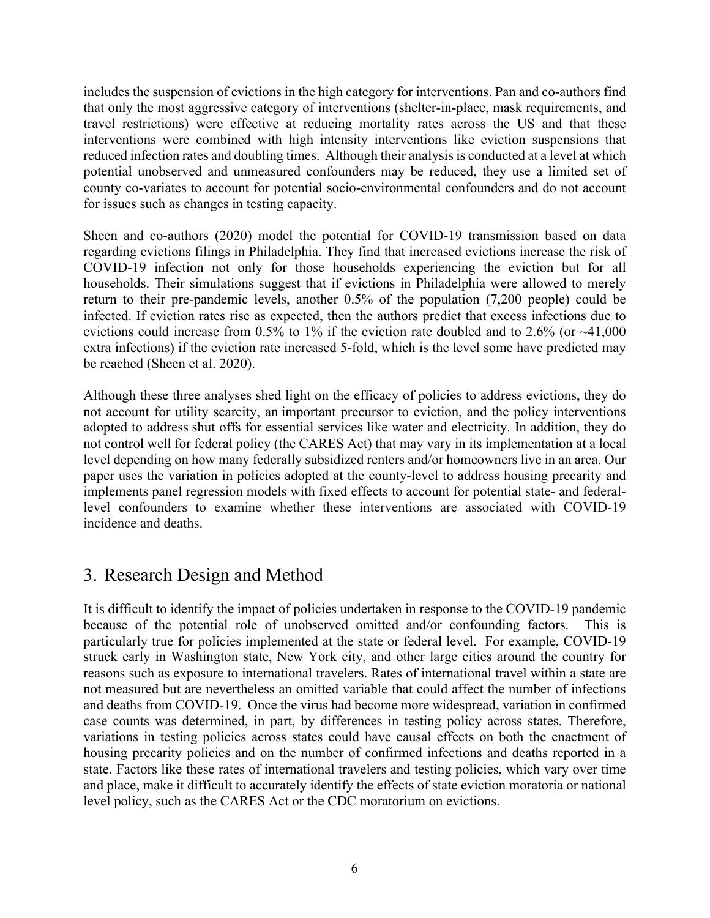includes the suspension of evictions in the high category for interventions. Pan and co-authors find that only the most aggressive category of interventions (shelter-in-place, mask requirements, and travel restrictions) were effective at reducing mortality rates across the US and that these interventions were combined with high intensity interventions like eviction suspensions that reduced infection rates and doubling times. Although their analysis is conducted at a level at which potential unobserved and unmeasured confounders may be reduced, they use a limited set of county co-variates to account for potential socio-environmental confounders and do not account for issues such as changes in testing capacity.

Sheen and co-authors (2020) model the potential for COVID-19 transmission based on data regarding evictions filings in Philadelphia. They find that increased evictions increase the risk of COVID-19 infection not only for those households experiencing the eviction but for all households. Their simulations suggest that if evictions in Philadelphia were allowed to merely return to their pre-pandemic levels, another 0.5% of the population (7,200 people) could be infected. If eviction rates rise as expected, then the authors predict that excess infections due to evictions could increase from  $0.5\%$  to 1% if the eviction rate doubled and to 2.6% (or  $~1,000$ extra infections) if the eviction rate increased 5-fold, which is the level some have predicted may be reached (Sheen et al. 2020).

Although these three analyses shed light on the efficacy of policies to address evictions, they do not account for utility scarcity, an important precursor to eviction, and the policy interventions adopted to address shut offs for essential services like water and electricity. In addition, they do not control well for federal policy (the CARES Act) that may vary in its implementation at a local level depending on how many federally subsidized renters and/or homeowners live in an area. Our paper uses the variation in policies adopted at the county-level to address housing precarity and implements panel regression models with fixed effects to account for potential state- and federallevel confounders to examine whether these interventions are associated with COVID-19 incidence and deaths.

## 3. Research Design and Method

It is difficult to identify the impact of policies undertaken in response to the COVID-19 pandemic because of the potential role of unobserved omitted and/or confounding factors. This is particularly true for policies implemented at the state or federal level. For example, COVID-19 struck early in Washington state, New York city, and other large cities around the country for reasons such as exposure to international travelers. Rates of international travel within a state are not measured but are nevertheless an omitted variable that could affect the number of infections and deaths from COVID-19. Once the virus had become more widespread, variation in confirmed case counts was determined, in part, by differences in testing policy across states. Therefore, variations in testing policies across states could have causal effects on both the enactment of housing precarity policies and on the number of confirmed infections and deaths reported in a state. Factors like these rates of international travelers and testing policies, which vary over time and place, make it difficult to accurately identify the effects of state eviction moratoria or national level policy, such as the CARES Act or the CDC moratorium on evictions.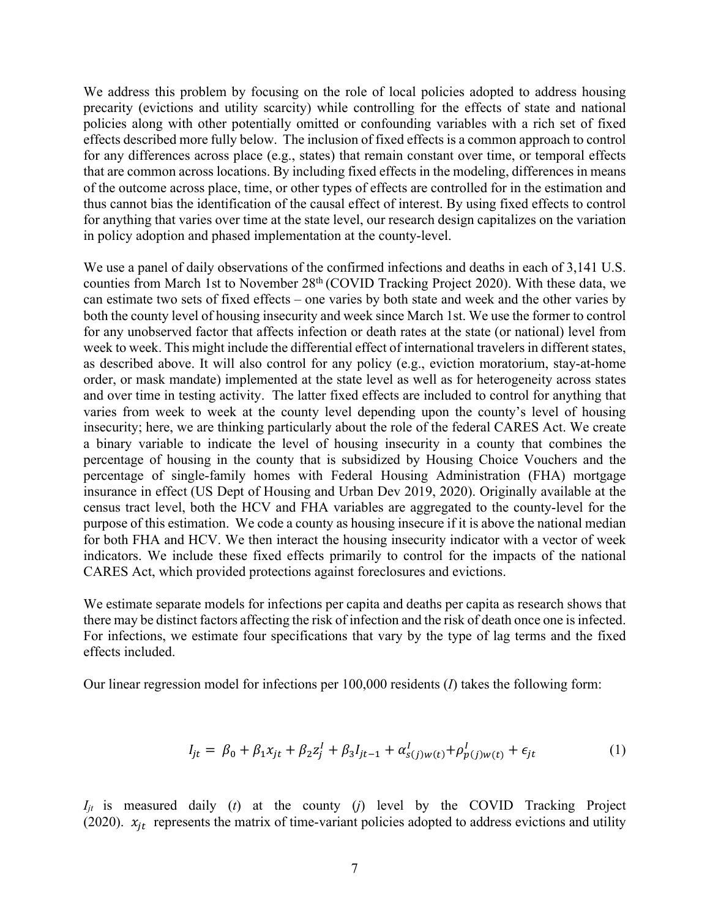We address this problem by focusing on the role of local policies adopted to address housing precarity (evictions and utility scarcity) while controlling for the effects of state and national policies along with other potentially omitted or confounding variables with a rich set of fixed effects described more fully below. The inclusion of fixed effects is a common approach to control for any differences across place (e.g., states) that remain constant over time, or temporal effects that are common across locations. By including fixed effects in the modeling, differences in means of the outcome across place, time, or other types of effects are controlled for in the estimation and thus cannot bias the identification of the causal effect of interest. By using fixed effects to control for anything that varies over time at the state level, our research design capitalizes on the variation in policy adoption and phased implementation at the county-level.

We use a panel of daily observations of the confirmed infections and deaths in each of 3,141 U.S. counties from March 1st to November 28<sup>th</sup> (COVID Tracking Project 2020). With these data, we can estimate two sets of fixed effects – one varies by both state and week and the other varies by both the county level of housing insecurity and week since March 1st. We use the former to control for any unobserved factor that affects infection or death rates at the state (or national) level from week to week. This might include the differential effect of international travelers in different states, as described above. It will also control for any policy (e.g., eviction moratorium, stay-at-home order, or mask mandate) implemented at the state level as well as for heterogeneity across states and over time in testing activity. The latter fixed effects are included to control for anything that varies from week to week at the county level depending upon the county's level of housing insecurity; here, we are thinking particularly about the role of the federal CARES Act. We create a binary variable to indicate the level of housing insecurity in a county that combines the percentage of housing in the county that is subsidized by Housing Choice Vouchers and the percentage of single-family homes with Federal Housing Administration (FHA) mortgage insurance in effect (US Dept of Housing and Urban Dev 2019, 2020). Originally available at the census tract level, both the HCV and FHA variables are aggregated to the county-level for the purpose of this estimation. We code a county as housing insecure if it is above the national median for both FHA and HCV. We then interact the housing insecurity indicator with a vector of week indicators. We include these fixed effects primarily to control for the impacts of the national CARES Act, which provided protections against foreclosures and evictions.

We estimate separate models for infections per capita and deaths per capita as research shows that there may be distinct factors affecting the risk of infection and the risk of death once one is infected. For infections, we estimate four specifications that vary by the type of lag terms and the fixed effects included.

Our linear regression model for infections per 100,000 residents (*I*) takes the following form:

$$
I_{jt} = \beta_0 + \beta_1 x_{jt} + \beta_2 z_j^l + \beta_3 I_{jt-1} + \alpha_{s(j)w(t)}^l + \rho_{p(j)w(t)}^l + \epsilon_{jt}
$$
(1)

*Ijt* is measured daily (*t*) at the county (*j*) level by the COVID Tracking Project (2020).  $x_{jt}$  represents the matrix of time-variant policies adopted to address evictions and utility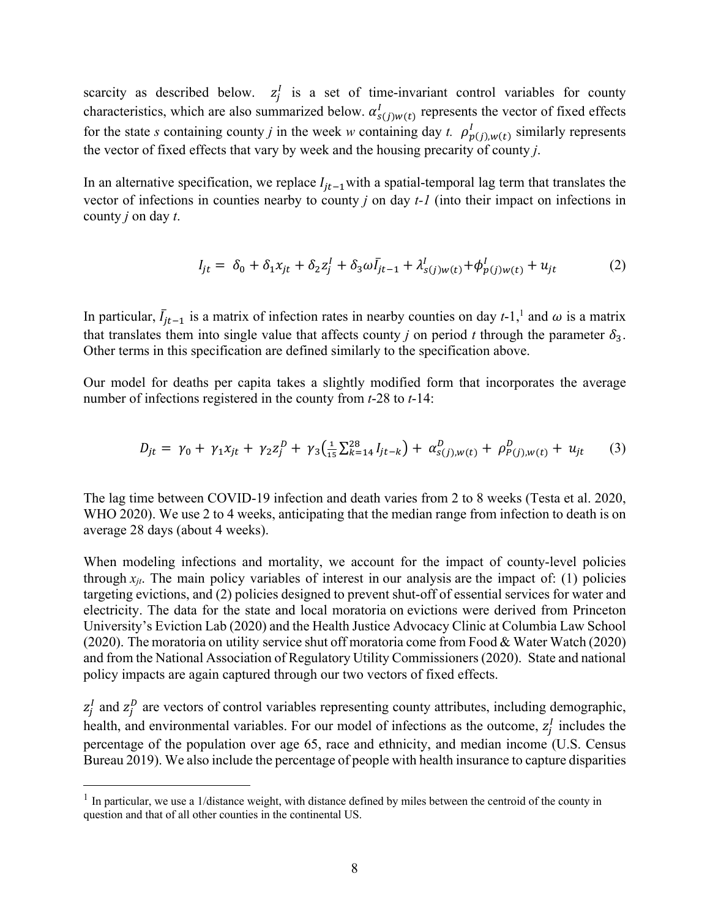scarcity as described below.  $z_j^I$  is a set of time-invariant control variables for county characteristics, which are also summarized below.  $\alpha_{s(j)w(t)}^l$  represents the vector of fixed effects for the state *s* containing county *j* in the week *w* containing day *t.*  $\rho_{p(j),w(t)}^I$  similarly represents the vector of fixed effects that vary by week and the housing precarity of county *j*.

In an alternative specification, we replace  $I_{it-1}$  with a spatial-temporal lag term that translates the vector of infections in counties nearby to county *j* on day *t-1* (into their impact on infections in county *j* on day *t*.

$$
I_{jt} = \delta_0 + \delta_1 x_{jt} + \delta_2 z_j^I + \delta_3 \omega I_{jt-1} + \lambda^I_{s(j)w(t)} + \phi^I_{p(j)w(t)} + u_{jt}
$$
 (2)

In particular,  $\bar{I}_{jt-1}$  is a matrix of infection rates in nearby counties on day  $t-1$ ,<sup>1</sup> and  $\omega$  is a matrix that translates them into single value that affects county *j* on period *t* through the parameter  $\delta_3$ . Other terms in this specification are defined similarly to the specification above.

Our model for deaths per capita takes a slightly modified form that incorporates the average number of infections registered in the county from *t*-28 to *t*-14:

$$
D_{jt} = \gamma_0 + \gamma_1 x_{jt} + \gamma_2 z_j^D + \gamma_3 \left(\frac{1}{15} \sum_{k=14}^{28} I_{jt-k}\right) + \alpha_{s(j),w(t)}^D + \rho_{P(j),w(t)}^D + u_{jt} \tag{3}
$$

The lag time between COVID-19 infection and death varies from 2 to 8 weeks (Testa et al. 2020, WHO 2020). We use 2 to 4 weeks, anticipating that the median range from infection to death is on average 28 days (about 4 weeks).

When modeling infections and mortality, we account for the impact of county-level policies through  $x_{jt}$ . The main policy variables of interest in our analysis are the impact of: (1) policies targeting evictions, and (2) policies designed to prevent shut-off of essential services for water and electricity. The data for the state and local moratoria on evictions were derived from Princeton University's Eviction Lab (2020) and the Health Justice Advocacy Clinic at Columbia Law School (2020). The moratoria on utility service shut off moratoria come from Food & Water Watch (2020) and from the National Association of Regulatory Utility Commissioners (2020). State and national policy impacts are again captured through our two vectors of fixed effects.

 $z_j^I$  and  $z_j^D$  are vectors of control variables representing county attributes, including demographic, health, and environmental variables. For our model of infections as the outcome,  $z_j^I$  includes the percentage of the population over age 65, race and ethnicity, and median income (U.S. Census Bureau 2019). We also include the percentage of people with health insurance to capture disparities

 $<sup>1</sup>$  In particular, we use a 1/distance weight, with distance defined by miles between the centroid of the county in</sup> question and that of all other counties in the continental US.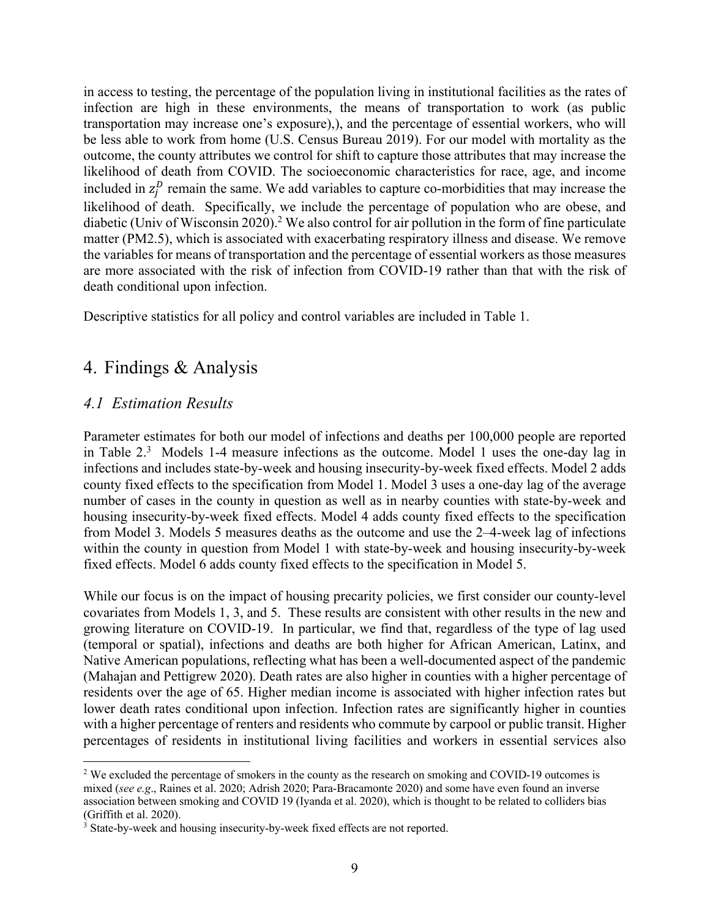in access to testing, the percentage of the population living in institutional facilities as the rates of infection are high in these environments, the means of transportation to work (as public transportation may increase one's exposure),), and the percentage of essential workers, who will be less able to work from home (U.S. Census Bureau 2019). For our model with mortality as the outcome, the county attributes we control for shift to capture those attributes that may increase the likelihood of death from COVID. The socioeconomic characteristics for race, age, and income included in  $z_j^D$  remain the same. We add variables to capture co-morbidities that may increase the likelihood of death. Specifically, we include the percentage of population who are obese, and diabetic (Univ of Wisconsin 2020).<sup>2</sup> We also control for air pollution in the form of fine particulate matter (PM2.5), which is associated with exacerbating respiratory illness and disease. We remove the variables for means of transportation and the percentage of essential workers as those measures are more associated with the risk of infection from COVID-19 rather than that with the risk of death conditional upon infection.

Descriptive statistics for all policy and control variables are included in Table 1.

## 4. Findings & Analysis

### *4.1 Estimation Results*

Parameter estimates for both our model of infections and deaths per 100,000 people are reported in Table  $2<sup>3</sup>$  Models 1-4 measure infections as the outcome. Model 1 uses the one-day lag in infections and includes state-by-week and housing insecurity-by-week fixed effects. Model 2 adds county fixed effects to the specification from Model 1. Model 3 uses a one-day lag of the average number of cases in the county in question as well as in nearby counties with state-by-week and housing insecurity-by-week fixed effects. Model 4 adds county fixed effects to the specification from Model 3. Models 5 measures deaths as the outcome and use the 2–4-week lag of infections within the county in question from Model 1 with state-by-week and housing insecurity-by-week fixed effects. Model 6 adds county fixed effects to the specification in Model 5.

While our focus is on the impact of housing precarity policies, we first consider our county-level covariates from Models 1, 3, and 5. These results are consistent with other results in the new and growing literature on COVID-19. In particular, we find that, regardless of the type of lag used (temporal or spatial), infections and deaths are both higher for African American, Latinx, and Native American populations, reflecting what has been a well-documented aspect of the pandemic (Mahajan and Pettigrew 2020). Death rates are also higher in counties with a higher percentage of residents over the age of 65. Higher median income is associated with higher infection rates but lower death rates conditional upon infection. Infection rates are significantly higher in counties with a higher percentage of renters and residents who commute by carpool or public transit. Higher percentages of residents in institutional living facilities and workers in essential services also

<sup>&</sup>lt;sup>2</sup> We excluded the percentage of smokers in the county as the research on smoking and COVID-19 outcomes is mixed (*see e.g*., Raines et al. 2020; Adrish 2020; Para-Bracamonte 2020) and some have even found an inverse association between smoking and COVID 19 (Iyanda et al. 2020), which is thought to be related to colliders bias (Griffith et al.  $2020$ ).

<sup>&</sup>lt;sup>3</sup> State-by-week and housing insecurity-by-week fixed effects are not reported.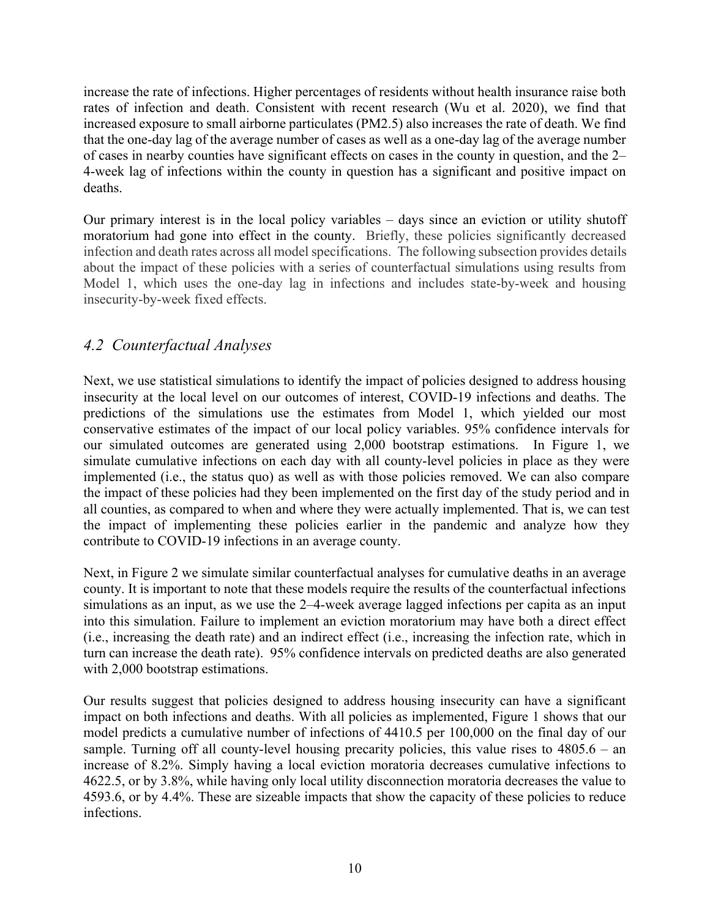increase the rate of infections. Higher percentages of residents without health insurance raise both rates of infection and death. Consistent with recent research (Wu et al. 2020), we find that increased exposure to small airborne particulates (PM2.5) also increases the rate of death. We find that the one-day lag of the average number of cases as well as a one-day lag of the average number of cases in nearby counties have significant effects on cases in the county in question, and the 2– 4-week lag of infections within the county in question has a significant and positive impact on deaths.

Our primary interest is in the local policy variables – days since an eviction or utility shutoff moratorium had gone into effect in the county. Briefly, these policies significantly decreased infection and death rates across all model specifications. The following subsection provides details about the impact of these policies with a series of counterfactual simulations using results from Model 1, which uses the one-day lag in infections and includes state-by-week and housing insecurity-by-week fixed effects.

### *4.2 Counterfactual Analyses*

Next, we use statistical simulations to identify the impact of policies designed to address housing insecurity at the local level on our outcomes of interest, COVID-19 infections and deaths. The predictions of the simulations use the estimates from Model 1, which yielded our most conservative estimates of the impact of our local policy variables. 95% confidence intervals for our simulated outcomes are generated using 2,000 bootstrap estimations. In Figure 1, we simulate cumulative infections on each day with all county-level policies in place as they were implemented (i.e., the status quo) as well as with those policies removed. We can also compare the impact of these policies had they been implemented on the first day of the study period and in all counties, as compared to when and where they were actually implemented. That is, we can test the impact of implementing these policies earlier in the pandemic and analyze how they contribute to COVID-19 infections in an average county.

Next, in Figure 2 we simulate similar counterfactual analyses for cumulative deaths in an average county. It is important to note that these models require the results of the counterfactual infections simulations as an input, as we use the 2–4-week average lagged infections per capita as an input into this simulation. Failure to implement an eviction moratorium may have both a direct effect (i.e., increasing the death rate) and an indirect effect (i.e., increasing the infection rate, which in turn can increase the death rate). 95% confidence intervals on predicted deaths are also generated with 2,000 bootstrap estimations.

Our results suggest that policies designed to address housing insecurity can have a significant impact on both infections and deaths. With all policies as implemented, Figure 1 shows that our model predicts a cumulative number of infections of 4410.5 per 100,000 on the final day of our sample. Turning off all county-level housing precarity policies, this value rises to 4805.6 – an increase of 8.2%. Simply having a local eviction moratoria decreases cumulative infections to 4622.5, or by 3.8%, while having only local utility disconnection moratoria decreases the value to 4593.6, or by 4.4%. These are sizeable impacts that show the capacity of these policies to reduce infections.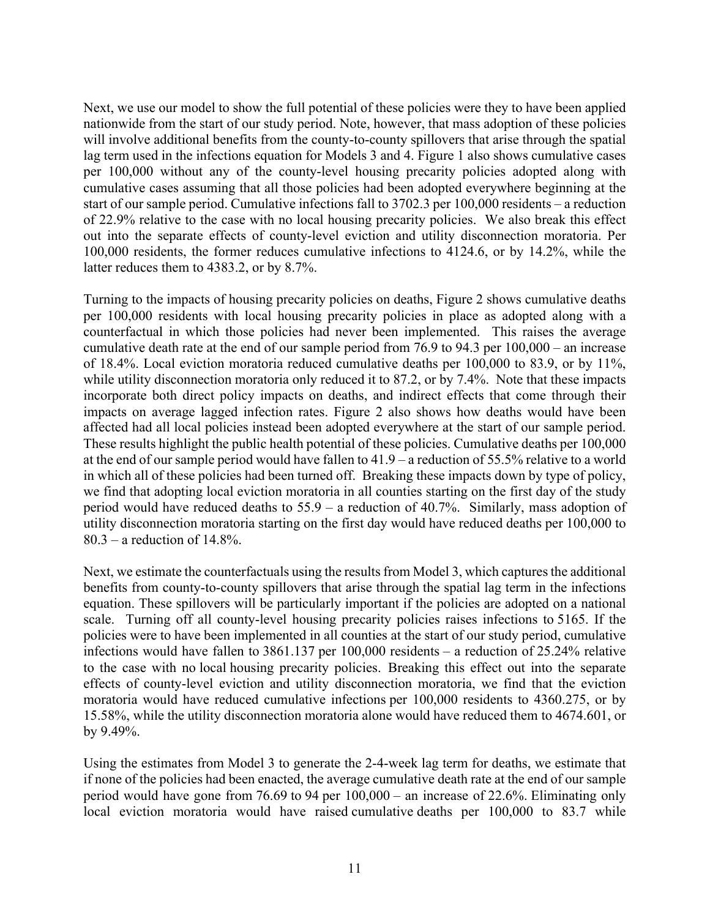Next, we use our model to show the full potential of these policies were they to have been applied nationwide from the start of our study period. Note, however, that mass adoption of these policies will involve additional benefits from the county-to-county spillovers that arise through the spatial lag term used in the infections equation for Models 3 and 4. Figure 1 also shows cumulative cases per 100,000 without any of the county-level housing precarity policies adopted along with cumulative cases assuming that all those policies had been adopted everywhere beginning at the start of our sample period. Cumulative infections fall to 3702.3 per 100,000 residents – a reduction of 22.9% relative to the case with no local housing precarity policies. We also break this effect out into the separate effects of county-level eviction and utility disconnection moratoria. Per 100,000 residents, the former reduces cumulative infections to 4124.6, or by 14.2%, while the latter reduces them to 4383.2, or by 8.7%.

Turning to the impacts of housing precarity policies on deaths, Figure 2 shows cumulative deaths per 100,000 residents with local housing precarity policies in place as adopted along with a counterfactual in which those policies had never been implemented. This raises the average cumulative death rate at the end of our sample period from 76.9 to 94.3 per 100,000 – an increase of 18.4%. Local eviction moratoria reduced cumulative deaths per 100,000 to 83.9, or by 11%, while utility disconnection moratoria only reduced it to 87.2, or by 7.4%. Note that these impacts incorporate both direct policy impacts on deaths, and indirect effects that come through their impacts on average lagged infection rates. Figure 2 also shows how deaths would have been affected had all local policies instead been adopted everywhere at the start of our sample period. These results highlight the public health potential of these policies. Cumulative deaths per 100,000 at the end of our sample period would have fallen to 41.9 – a reduction of 55.5% relative to a world in which all of these policies had been turned off. Breaking these impacts down by type of policy, we find that adopting local eviction moratoria in all counties starting on the first day of the study period would have reduced deaths to 55.9 – a reduction of 40.7%. Similarly, mass adoption of utility disconnection moratoria starting on the first day would have reduced deaths per 100,000 to 80.3 – a reduction of 14.8%.

Next, we estimate the counterfactuals using the results from Model 3, which captures the additional benefits from county-to-county spillovers that arise through the spatial lag term in the infections equation. These spillovers will be particularly important if the policies are adopted on a national scale. Turning off all county-level housing precarity policies raises infections to 5165. If the policies were to have been implemented in all counties at the start of our study period, cumulative infections would have fallen to 3861.137 per 100,000 residents – a reduction of 25.24% relative to the case with no local housing precarity policies. Breaking this effect out into the separate effects of county-level eviction and utility disconnection moratoria, we find that the eviction moratoria would have reduced cumulative infections per 100,000 residents to 4360.275, or by 15.58%, while the utility disconnection moratoria alone would have reduced them to 4674.601, or by 9.49%.

Using the estimates from Model 3 to generate the 2-4-week lag term for deaths, we estimate that if none of the policies had been enacted, the average cumulative death rate at the end of our sample period would have gone from 76.69 to 94 per 100,000 – an increase of 22.6%. Eliminating only local eviction moratoria would have raised cumulative deaths per 100,000 to 83.7 while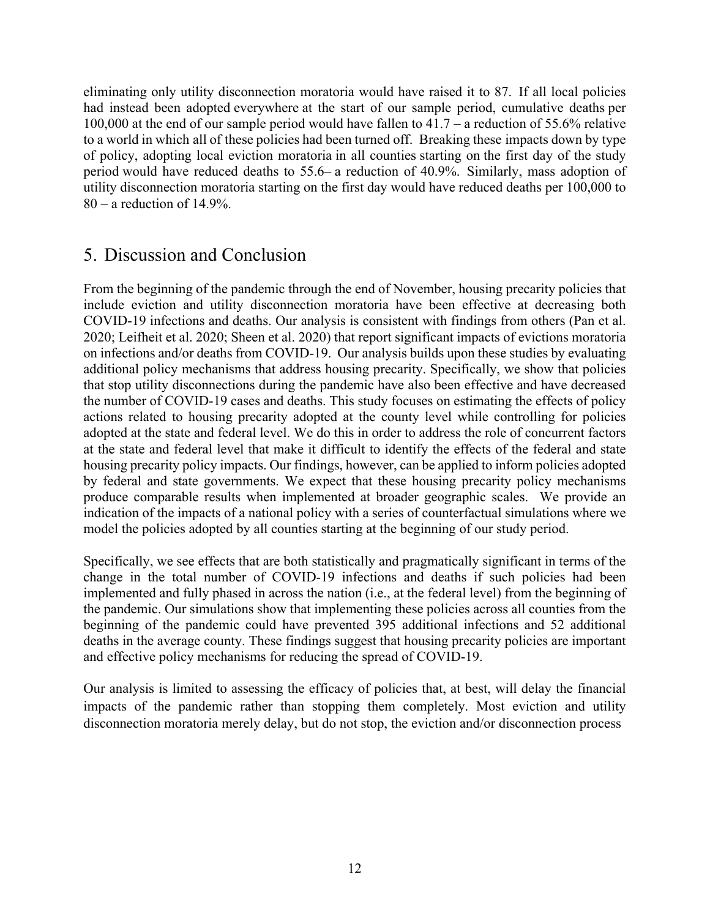eliminating only utility disconnection moratoria would have raised it to 87. If all local policies had instead been adopted everywhere at the start of our sample period, cumulative deaths per 100,000 at the end of our sample period would have fallen to 41.7 – a reduction of 55.6% relative to a world in which all of these policies had been turned off. Breaking these impacts down by type of policy, adopting local eviction moratoria in all counties starting on the first day of the study period would have reduced deaths to 55.6– a reduction of 40.9%. Similarly, mass adoption of utility disconnection moratoria starting on the first day would have reduced deaths per 100,000 to  $80 - a$  reduction of 14.9%.

## 5. Discussion and Conclusion

From the beginning of the pandemic through the end of November, housing precarity policies that include eviction and utility disconnection moratoria have been effective at decreasing both COVID-19 infections and deaths. Our analysis is consistent with findings from others (Pan et al. 2020; Leifheit et al. 2020; Sheen et al. 2020) that report significant impacts of evictions moratoria on infections and/or deaths from COVID-19. Our analysis builds upon these studies by evaluating additional policy mechanisms that address housing precarity. Specifically, we show that policies that stop utility disconnections during the pandemic have also been effective and have decreased the number of COVID-19 cases and deaths. This study focuses on estimating the effects of policy actions related to housing precarity adopted at the county level while controlling for policies adopted at the state and federal level. We do this in order to address the role of concurrent factors at the state and federal level that make it difficult to identify the effects of the federal and state housing precarity policy impacts. Our findings, however, can be applied to inform policies adopted by federal and state governments. We expect that these housing precarity policy mechanisms produce comparable results when implemented at broader geographic scales. We provide an indication of the impacts of a national policy with a series of counterfactual simulations where we model the policies adopted by all counties starting at the beginning of our study period.

Specifically, we see effects that are both statistically and pragmatically significant in terms of the change in the total number of COVID-19 infections and deaths if such policies had been implemented and fully phased in across the nation (i.e., at the federal level) from the beginning of the pandemic. Our simulations show that implementing these policies across all counties from the beginning of the pandemic could have prevented 395 additional infections and 52 additional deaths in the average county. These findings suggest that housing precarity policies are important and effective policy mechanisms for reducing the spread of COVID-19.

Our analysis is limited to assessing the efficacy of policies that, at best, will delay the financial impacts of the pandemic rather than stopping them completely. Most eviction and utility disconnection moratoria merely delay, but do not stop, the eviction and/or disconnection process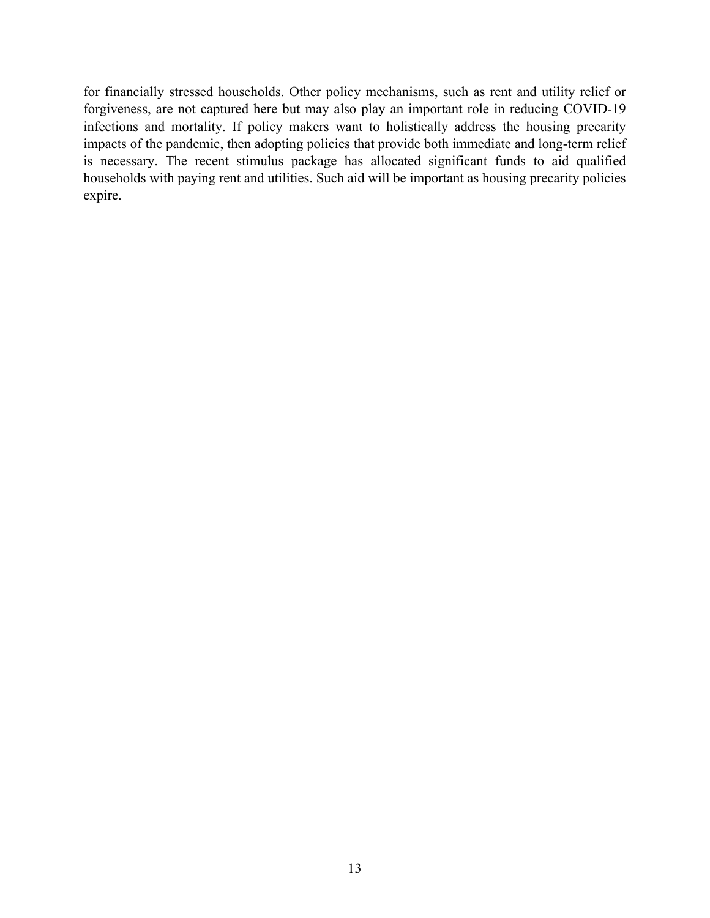for financially stressed households. Other policy mechanisms, such as rent and utility relief or forgiveness, are not captured here but may also play an important role in reducing COVID-19 infections and mortality. If policy makers want to holistically address the housing precarity impacts of the pandemic, then adopting policies that provide both immediate and long-term relief is necessary. The recent stimulus package has allocated significant funds to aid qualified households with paying rent and utilities. Such aid will be important as housing precarity policies expire.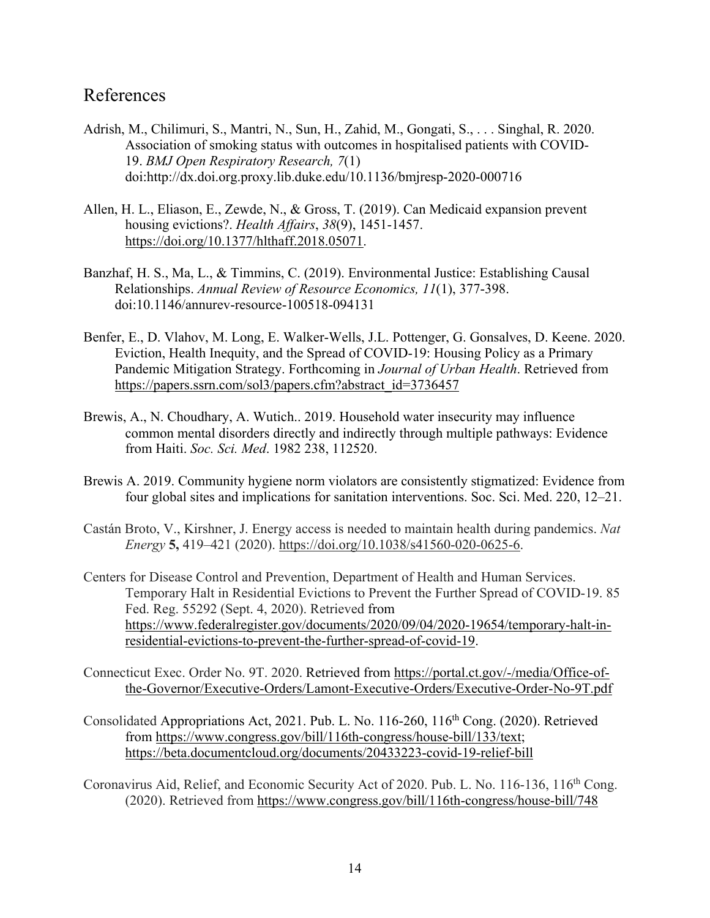### References

- Adrish, M., Chilimuri, S., Mantri, N., Sun, H., Zahid, M., Gongati, S., . . . Singhal, R. 2020. Association of smoking status with outcomes in hospitalised patients with COVID-19. *BMJ Open Respiratory Research, 7*(1) doi:http://dx.doi.org.proxy.lib.duke.edu/10.1136/bmjresp-2020-000716
- Allen, H. L., Eliason, E., Zewde, N., & Gross, T. (2019). Can Medicaid expansion prevent housing evictions?. *Health Affairs*, *38*(9), 1451-1457. https://doi.org/10.1377/hlthaff.2018.05071.
- Banzhaf, H. S., Ma, L., & Timmins, C. (2019). Environmental Justice: Establishing Causal Relationships. *Annual Review of Resource Economics, 11*(1), 377-398. doi:10.1146/annurev-resource-100518-094131
- Benfer, E., D. Vlahov, M. Long, E. Walker-Wells, J.L. Pottenger, G. Gonsalves, D. Keene. 2020. Eviction, Health Inequity, and the Spread of COVID-19: Housing Policy as a Primary Pandemic Mitigation Strategy. Forthcoming in *Journal of Urban Health*. Retrieved from https://papers.ssrn.com/sol3/papers.cfm?abstract\_id=3736457
- Brewis, A., N. Choudhary, A. Wutich.. 2019. Household water insecurity may influence common mental disorders directly and indirectly through multiple pathways: Evidence from Haiti. *Soc. Sci. Med*. 1982 238, 112520.
- Brewis A. 2019. Community hygiene norm violators are consistently stigmatized: Evidence from four global sites and implications for sanitation interventions. Soc. Sci. Med. 220, 12–21.
- Castán Broto, V., Kirshner, J. Energy access is needed to maintain health during pandemics. *Nat Energy* **5,** 419–421 (2020). https://doi.org/10.1038/s41560-020-0625-6.
- Centers for Disease Control and Prevention, Department of Health and Human Services. Temporary Halt in Residential Evictions to Prevent the Further Spread of COVID-19. 85 Fed. Reg. 55292 (Sept. 4, 2020). Retrieved from https://www.federalregister.gov/documents/2020/09/04/2020-19654/temporary-halt-inresidential-evictions-to-prevent-the-further-spread-of-covid-19.
- Connecticut Exec. Order No. 9T. 2020. Retrieved from https://portal.ct.gov/-/media/Office-ofthe-Governor/Executive-Orders/Lamont-Executive-Orders/Executive-Order-No-9T.pdf
- Consolidated Appropriations Act, 2021. Pub. L. No. 116-260, 116<sup>th</sup> Cong. (2020). Retrieved from https://www.congress.gov/bill/116th-congress/house-bill/133/text; https://beta.documentcloud.org/documents/20433223-covid-19-relief-bill
- Coronavirus Aid, Relief, and Economic Security Act of 2020. Pub. L. No. 116-136, 116<sup>th</sup> Cong. (2020). Retrieved from https://www.congress.gov/bill/116th-congress/house-bill/748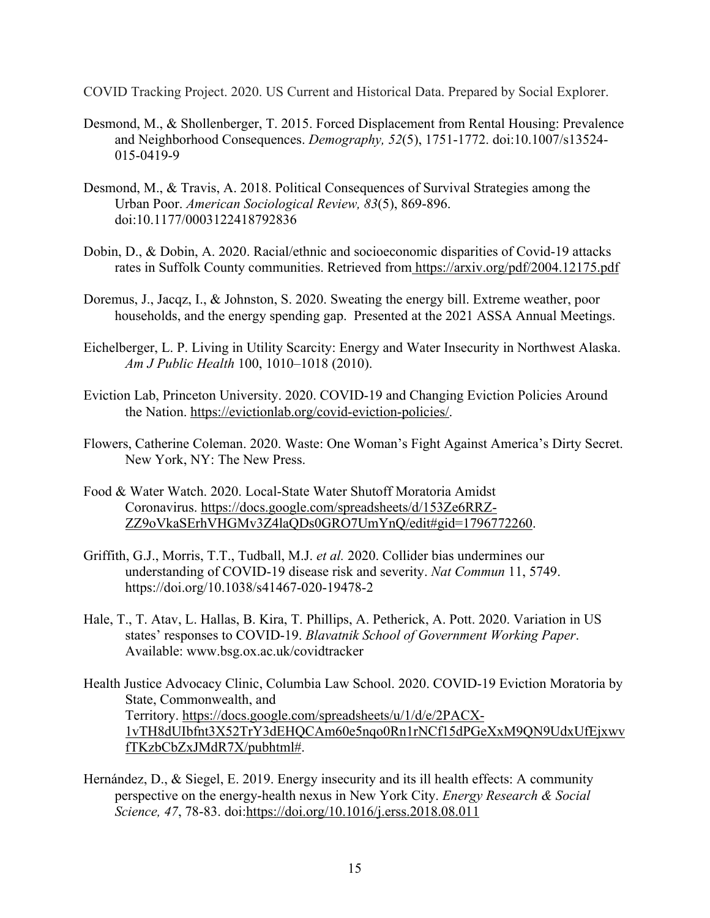COVID Tracking Project. 2020. US Current and Historical Data. Prepared by Social Explorer.

- Desmond, M., & Shollenberger, T. 2015. Forced Displacement from Rental Housing: Prevalence and Neighborhood Consequences. *Demography, 52*(5), 1751-1772. doi:10.1007/s13524- 015-0419-9
- Desmond, M., & Travis, A. 2018. Political Consequences of Survival Strategies among the Urban Poor. *American Sociological Review, 83*(5), 869-896. doi:10.1177/0003122418792836
- Dobin, D., & Dobin, A. 2020. Racial/ethnic and socioeconomic disparities of Covid-19 attacks rates in Suffolk County communities. Retrieved from https://arxiv.org/pdf/2004.12175.pdf
- Doremus, J., Jacqz, I., & Johnston, S. 2020. Sweating the energy bill. Extreme weather, poor households, and the energy spending gap. Presented at the 2021 ASSA Annual Meetings.
- Eichelberger, L. P. Living in Utility Scarcity: Energy and Water Insecurity in Northwest Alaska. *Am J Public Health* 100, 1010–1018 (2010).
- Eviction Lab, Princeton University. 2020. COVID-19 and Changing Eviction Policies Around the Nation. https://evictionlab.org/covid-eviction-policies/.
- Flowers, Catherine Coleman. 2020. Waste: One Woman's Fight Against America's Dirty Secret. New York, NY: The New Press.
- Food & Water Watch. 2020. Local-State Water Shutoff Moratoria Amidst Coronavirus. https://docs.google.com/spreadsheets/d/153Ze6RRZ-ZZ9oVkaSErhVHGMv3Z4laQDs0GRO7UmYnQ/edit#gid=1796772260.
- Griffith, G.J., Morris, T.T., Tudball, M.J. *et al.* 2020. Collider bias undermines our understanding of COVID-19 disease risk and severity. *Nat Commun* 11, 5749. https://doi.org/10.1038/s41467-020-19478-2
- Hale, T., T. Atav, L. Hallas, B. Kira, T. Phillips, A. Petherick, A. Pott. 2020. Variation in US states' responses to COVID-19. *Blavatnik School of Government Working Paper*. Available: www.bsg.ox.ac.uk/covidtracker
- Health Justice Advocacy Clinic, Columbia Law School. 2020. COVID-19 Eviction Moratoria by State, Commonwealth, and Territory. https://docs.google.com/spreadsheets/u/1/d/e/2PACX-1vTH8dUIbfnt3X52TrY3dEHQCAm60e5nqo0Rn1rNCf15dPGeXxM9QN9UdxUfEjxwv fTKzbCbZxJMdR7X/pubhtml#.
- Hernández, D., & Siegel, E. 2019. Energy insecurity and its ill health effects: A community perspective on the energy-health nexus in New York City. *Energy Research & Social Science, 47*, 78-83. doi:https://doi.org/10.1016/j.erss.2018.08.011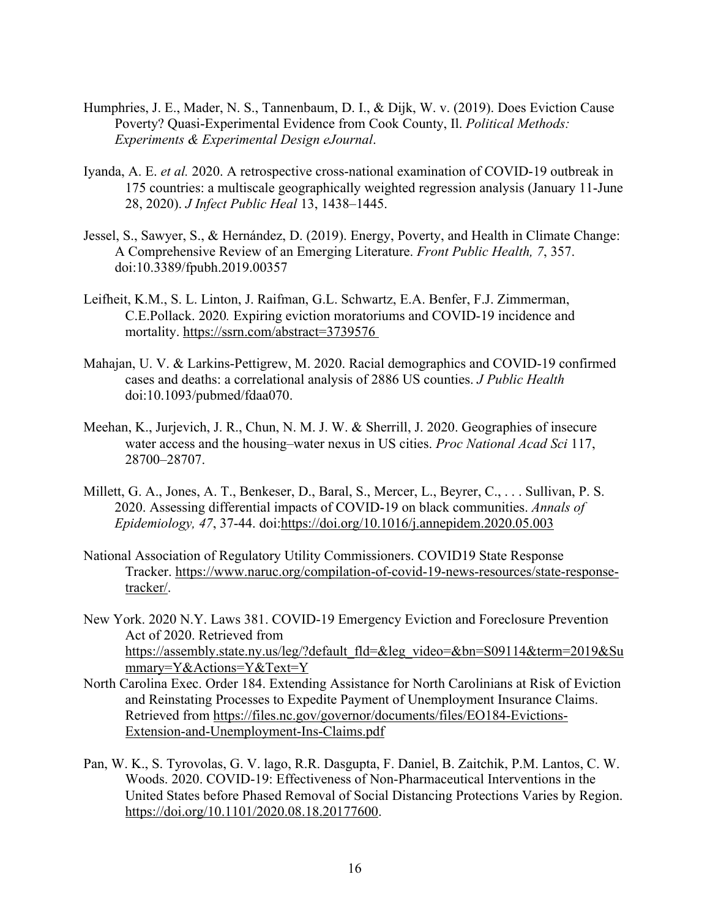- Humphries, J. E., Mader, N. S., Tannenbaum, D. I., & Dijk, W. v. (2019). Does Eviction Cause Poverty? Quasi-Experimental Evidence from Cook County, Il. *Political Methods: Experiments & Experimental Design eJournal*.
- Iyanda, A. E. *et al.* 2020. A retrospective cross-national examination of COVID-19 outbreak in 175 countries: a multiscale geographically weighted regression analysis (January 11-June 28, 2020). *J Infect Public Heal* 13, 1438–1445.
- Jessel, S., Sawyer, S., & Hernández, D. (2019). Energy, Poverty, and Health in Climate Change: A Comprehensive Review of an Emerging Literature. *Front Public Health, 7*, 357. doi:10.3389/fpubh.2019.00357
- Leifheit, K.M., S. L. Linton, J. Raifman, G.L. Schwartz, E.A. Benfer, F.J. Zimmerman, C.E.Pollack. 2020*.* Expiring eviction moratoriums and COVID-19 incidence and mortality. https://ssrn.com/abstract=3739576
- Mahajan, U. V. & Larkins-Pettigrew, M. 2020. Racial demographics and COVID-19 confirmed cases and deaths: a correlational analysis of 2886 US counties. *J Public Health* doi:10.1093/pubmed/fdaa070.
- Meehan, K., Jurjevich, J. R., Chun, N. M. J. W. & Sherrill, J. 2020. Geographies of insecure water access and the housing–water nexus in US cities. *Proc National Acad Sci* 117, 28700–28707.
- Millett, G. A., Jones, A. T., Benkeser, D., Baral, S., Mercer, L., Beyrer, C., . . . Sullivan, P. S. 2020. Assessing differential impacts of COVID-19 on black communities. *Annals of Epidemiology, 47*, 37-44. doi:https://doi.org/10.1016/j.annepidem.2020.05.003
- National Association of Regulatory Utility Commissioners. COVID19 State Response Tracker. https://www.naruc.org/compilation-of-covid-19-news-resources/state-responsetracker/.
- New York. 2020 N.Y. Laws 381. COVID-19 Emergency Eviction and Foreclosure Prevention Act of 2020. Retrieved from https://assembly.state.ny.us/leg/?default\_fld=&leg\_video=&bn=S09114&term=2019&Su mmary=Y&Actions=Y&Text=Y
- North Carolina Exec. Order 184. Extending Assistance for North Carolinians at Risk of Eviction and Reinstating Processes to Expedite Payment of Unemployment Insurance Claims. Retrieved from https://files.nc.gov/governor/documents/files/EO184-Evictions-Extension-and-Unemployment-Ins-Claims.pdf
- Pan, W. K., S. Tyrovolas, G. V. lago, R.R. Dasgupta, F. Daniel, B. Zaitchik, P.M. Lantos, C. W. Woods. 2020. COVID-19: Effectiveness of Non-Pharmaceutical Interventions in the United States before Phased Removal of Social Distancing Protections Varies by Region. https://doi.org/10.1101/2020.08.18.20177600.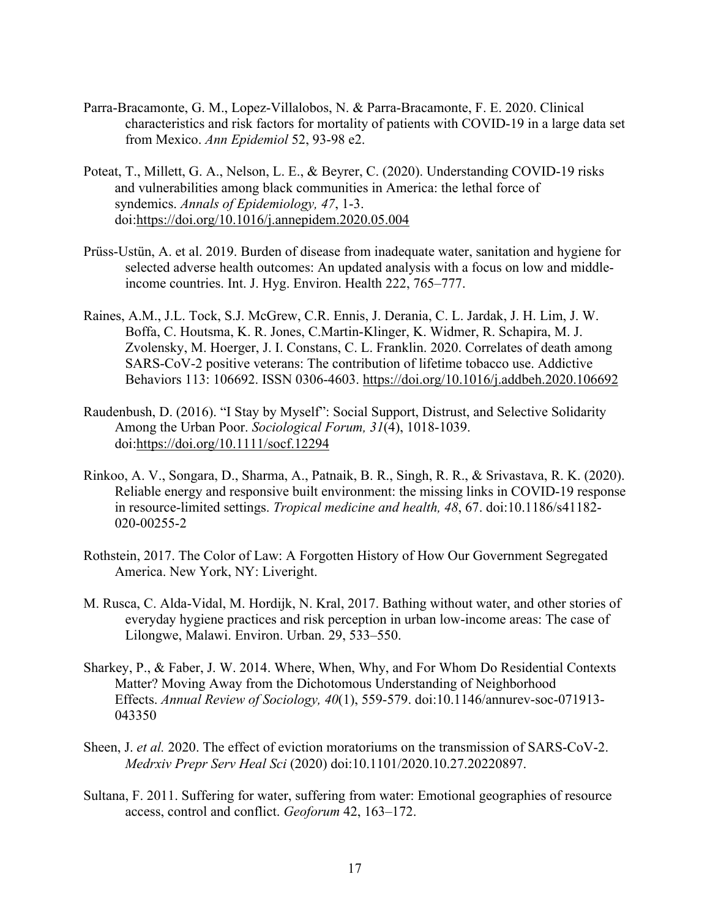- Parra-Bracamonte, G. M., Lopez-Villalobos, N. & Parra-Bracamonte, F. E. 2020. Clinical characteristics and risk factors for mortality of patients with COVID-19 in a large data set from Mexico. *Ann Epidemiol* 52, 93-98 e2.
- Poteat, T., Millett, G. A., Nelson, L. E., & Beyrer, C. (2020). Understanding COVID-19 risks and vulnerabilities among black communities in America: the lethal force of syndemics. *Annals of Epidemiology, 47*, 1-3. doi:https://doi.org/10.1016/j.annepidem.2020.05.004
- Prüss-Ustün, A. et al. 2019. Burden of disease from inadequate water, sanitation and hygiene for selected adverse health outcomes: An updated analysis with a focus on low and middleincome countries. Int. J. Hyg. Environ. Health 222, 765–777.
- Raines, A.M., J.L. Tock, S.J. McGrew, C.R. Ennis, J. Derania, C. L. Jardak, J. H. Lim, J. W. Boffa, C. Houtsma, K. R. Jones, C.Martin-Klinger, K. Widmer, R. Schapira, M. J. Zvolensky, M. Hoerger, J. I. Constans, C. L. Franklin. 2020. Correlates of death among SARS-CoV-2 positive veterans: The contribution of lifetime tobacco use. Addictive Behaviors 113: 106692. ISSN 0306-4603. https://doi.org/10.1016/j.addbeh.2020.106692
- Raudenbush, D. (2016). "I Stay by Myself": Social Support, Distrust, and Selective Solidarity Among the Urban Poor. *Sociological Forum, 31*(4), 1018-1039. doi:https://doi.org/10.1111/socf.12294
- Rinkoo, A. V., Songara, D., Sharma, A., Patnaik, B. R., Singh, R. R., & Srivastava, R. K. (2020). Reliable energy and responsive built environment: the missing links in COVID-19 response in resource-limited settings. *Tropical medicine and health, 48*, 67. doi:10.1186/s41182- 020-00255-2
- Rothstein, 2017. The Color of Law: A Forgotten History of How Our Government Segregated America. New York, NY: Liveright.
- M. Rusca, C. Alda-Vidal, M. Hordijk, N. Kral, 2017. Bathing without water, and other stories of everyday hygiene practices and risk perception in urban low-income areas: The case of Lilongwe, Malawi. Environ. Urban. 29, 533–550.
- Sharkey, P., & Faber, J. W. 2014. Where, When, Why, and For Whom Do Residential Contexts Matter? Moving Away from the Dichotomous Understanding of Neighborhood Effects. *Annual Review of Sociology, 40*(1), 559-579. doi:10.1146/annurev-soc-071913- 043350
- Sheen, J. *et al.* 2020. The effect of eviction moratoriums on the transmission of SARS-CoV-2. *Medrxiv Prepr Serv Heal Sci* (2020) doi:10.1101/2020.10.27.20220897.
- Sultana, F. 2011. Suffering for water, suffering from water: Emotional geographies of resource access, control and conflict. *Geoforum* 42, 163–172.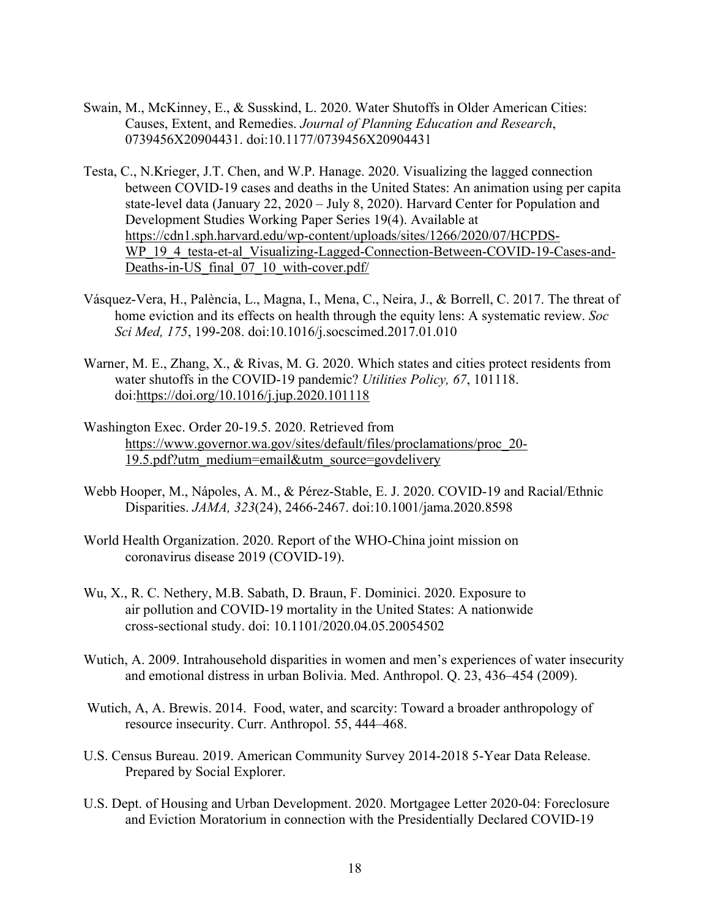- Swain, M., McKinney, E., & Susskind, L. 2020. Water Shutoffs in Older American Cities: Causes, Extent, and Remedies. *Journal of Planning Education and Research*, 0739456X20904431. doi:10.1177/0739456X20904431
- Testa, C., N.Krieger, J.T. Chen, and W.P. Hanage. 2020. Visualizing the lagged connection between COVID-19 cases and deaths in the United States: An animation using per capita state-level data (January 22, 2020 – July 8, 2020). Harvard Center for Population and Development Studies Working Paper Series 19(4). Available at https://cdn1.sph.harvard.edu/wp-content/uploads/sites/1266/2020/07/HCPDS-WP 19 4 testa-et-al Visualizing-Lagged-Connection-Between-COVID-19-Cases-and-Deaths-in-US final 07 10 with-cover.pdf/
- Vásquez-Vera, H., Palència, L., Magna, I., Mena, C., Neira, J., & Borrell, C. 2017. The threat of home eviction and its effects on health through the equity lens: A systematic review. *Soc Sci Med, 175*, 199-208. doi:10.1016/j.socscimed.2017.01.010
- Warner, M. E., Zhang, X., & Rivas, M. G. 2020. Which states and cities protect residents from water shutoffs in the COVID-19 pandemic? *Utilities Policy, 67*, 101118. doi:https://doi.org/10.1016/j.jup.2020.101118
- Washington Exec. Order 20-19.5. 2020. Retrieved from https://www.governor.wa.gov/sites/default/files/proclamations/proc\_20- 19.5.pdf?utm\_medium=email&utm\_source=govdelivery
- Webb Hooper, M., Nápoles, A. M., & Pérez-Stable, E. J. 2020. COVID-19 and Racial/Ethnic Disparities. *JAMA, 323*(24), 2466-2467. doi:10.1001/jama.2020.8598
- World Health Organization. 2020. Report of the WHO-China joint mission on coronavirus disease 2019 (COVID-19).
- Wu, X., R. C. Nethery, M.B. Sabath, D. Braun, F. Dominici. 2020. Exposure to air pollution and COVID-19 mortality in the United States: A nationwide cross-sectional study. doi: 10.1101/2020.04.05.20054502
- Wutich, A. 2009. Intrahousehold disparities in women and men's experiences of water insecurity and emotional distress in urban Bolivia. Med. Anthropol. Q. 23, 436–454 (2009).
- Wutich, A, A. Brewis. 2014. Food, water, and scarcity: Toward a broader anthropology of resource insecurity. Curr. Anthropol. 55, 444–468.
- U.S. Census Bureau. 2019. American Community Survey 2014-2018 5-Year Data Release. Prepared by Social Explorer.
- U.S. Dept. of Housing and Urban Development. 2020. Mortgagee Letter 2020-04: Foreclosure and Eviction Moratorium in connection with the Presidentially Declared COVID-19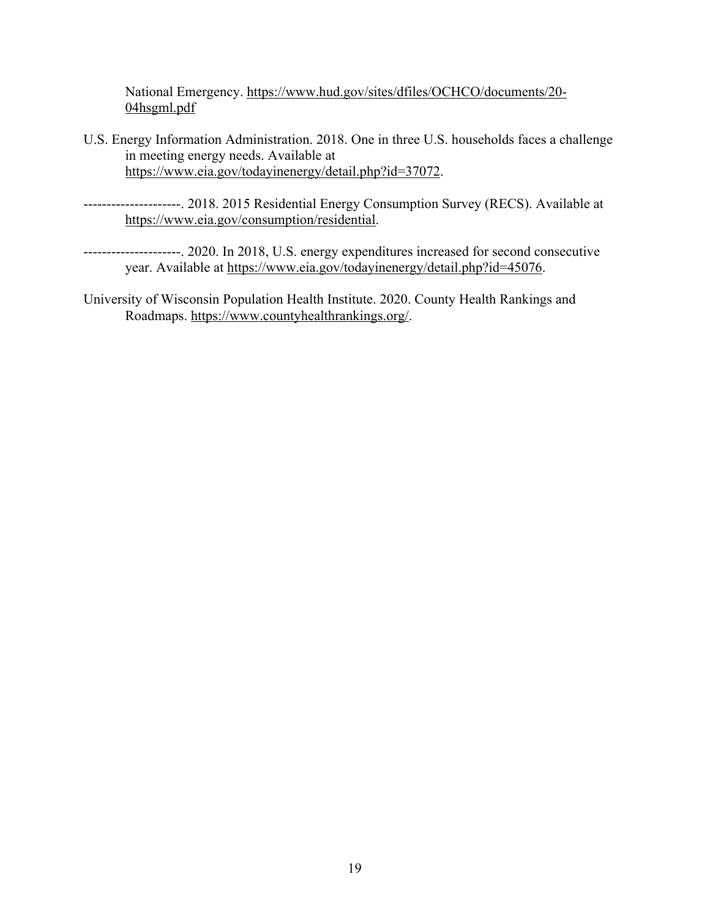National Emergency. https://www.hud.gov/sites/dfiles/OCHCO/documents/20- 04hsgml.pdf

- U.S. Energy Information Administration. 2018. One in three U.S. households faces a challenge in meeting energy needs. Available at https://www.eia.gov/todayinenergy/detail.php?id=37072.
- ---------------------. 2018. 2015 Residential Energy Consumption Survey (RECS). Available at https://www.eia.gov/consumption/residential.
- ---------------------. 2020. In 2018, U.S. energy expenditures increased for second consecutive year. Available at https://www.eia.gov/todayinenergy/detail.php?id=45076.
- University of Wisconsin Population Health Institute. 2020. County Health Rankings and Roadmaps. https://www.countyhealthrankings.org/.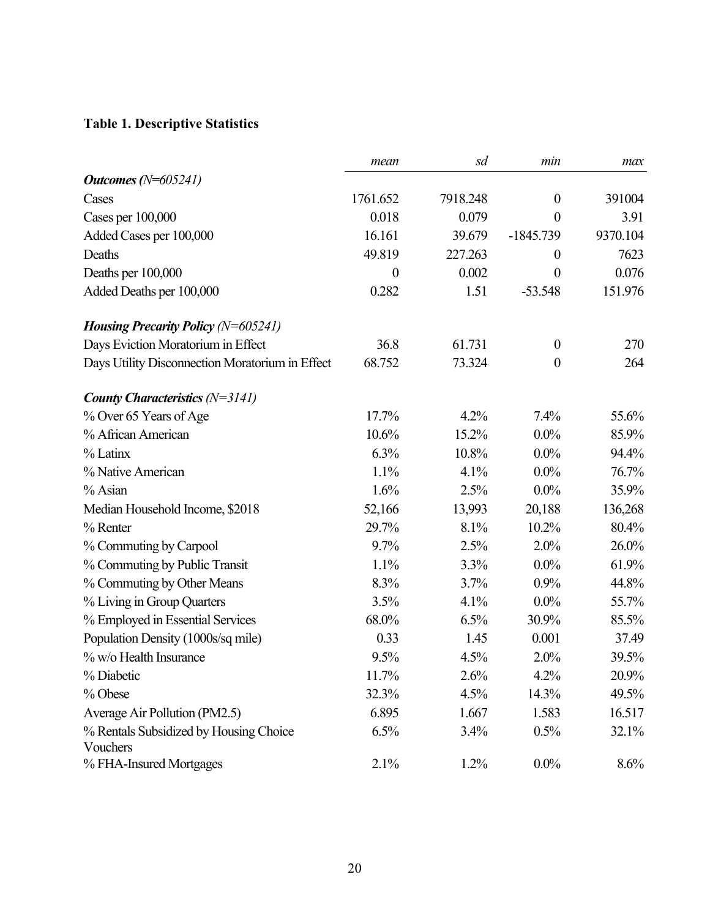# **Table 1. Descriptive Statistics**

|                                                 | mean             | sd       | min              | max      |
|-------------------------------------------------|------------------|----------|------------------|----------|
| Outcomes $(N=605241)$                           |                  |          |                  |          |
| Cases                                           | 1761.652         | 7918.248 | $\boldsymbol{0}$ | 391004   |
| Cases per 100,000                               | 0.018            | 0.079    | $\theta$         | 3.91     |
| Added Cases per 100,000                         | 16.161           | 39.679   | $-1845.739$      | 9370.104 |
| Deaths                                          | 49.819           | 227.263  | $\boldsymbol{0}$ | 7623     |
| Deaths per 100,000                              | $\boldsymbol{0}$ | 0.002    | $\boldsymbol{0}$ | 0.076    |
| Added Deaths per 100,000                        | 0.282            | 1.51     | $-53.548$        | 151.976  |
| <i>Housing Precarity Policy</i> $(N=605241)$    |                  |          |                  |          |
| Days Eviction Moratorium in Effect              | 36.8             | 61.731   | $\boldsymbol{0}$ | 270      |
| Days Utility Disconnection Moratorium in Effect | 68.752           | 73.324   | $\boldsymbol{0}$ | 264      |
| County Characteristics $(N=3141)$               |                  |          |                  |          |
| % Over 65 Years of Age                          | 17.7%            | 4.2%     | 7.4%             | 55.6%    |
| % African American                              | 10.6%            | 15.2%    | $0.0\%$          | 85.9%    |
| % Latinx                                        | 6.3%             | 10.8%    | $0.0\%$          | 94.4%    |
| % Native American                               | 1.1%             | 4.1%     | $0.0\%$          | 76.7%    |
| % Asian                                         | 1.6%             | 2.5%     | $0.0\%$          | 35.9%    |
| Median Household Income, \$2018                 | 52,166           | 13,993   | 20,188           | 136,268  |
| $%$ Renter                                      | 29.7%            | 8.1%     | 10.2%            | 80.4%    |
| % Commuting by Carpool                          | 9.7%             | 2.5%     | 2.0%             | 26.0%    |
| % Commuting by Public Transit                   | 1.1%             | 3.3%     | $0.0\%$          | 61.9%    |
| % Commuting by Other Means                      | 8.3%             | 3.7%     | 0.9%             | 44.8%    |
| % Living in Group Quarters                      | 3.5%             | 4.1%     | $0.0\%$          | 55.7%    |
| % Employed in Essential Services                | 68.0%            | 6.5%     | 30.9%            | 85.5%    |
| Population Density (1000s/sq mile)              | 0.33             | 1.45     | 0.001            | 37.49    |
| % w/o Health Insurance                          | 9.5%             | 4.5%     | 2.0%             | 39.5%    |
| % Diabetic                                      | 11.7%            | 2.6%     | 4.2%             | 20.9%    |
| % Obese                                         | 32.3%            | 4.5%     | 14.3%            | 49.5%    |
| Average Air Pollution (PM2.5)                   | 6.895            | 1.667    | 1.583            | 16.517   |
| % Rentals Subsidized by Housing Choice          | 6.5%             | 3.4%     | 0.5%             | 32.1%    |
| Vouchers                                        |                  |          |                  |          |
| % FHA-Insured Mortgages                         | 2.1%             | 1.2%     | $0.0\%$          | 8.6%     |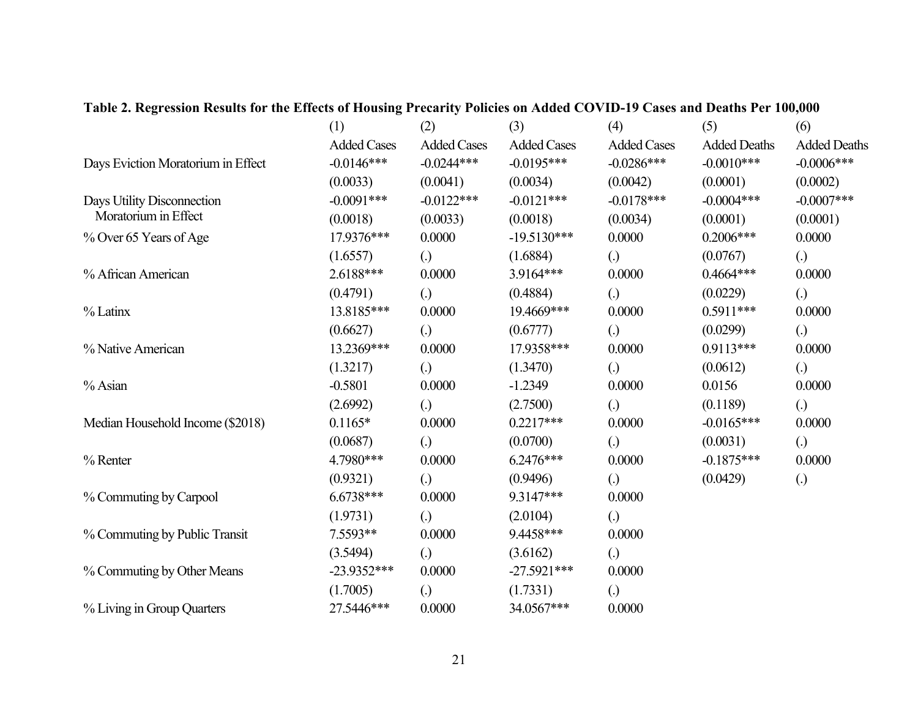|                                    | (1)                | (2)                | (3)                | (4)                | (5)                 | (6)                 |
|------------------------------------|--------------------|--------------------|--------------------|--------------------|---------------------|---------------------|
|                                    | <b>Added Cases</b> | <b>Added Cases</b> | <b>Added Cases</b> | <b>Added Cases</b> | <b>Added Deaths</b> | <b>Added Deaths</b> |
| Days Eviction Moratorium in Effect | $-0.0146***$       | $-0.0244***$       | $-0.0195***$       | $-0.0286***$       | $-0.0010***$        | $-0.0006$ ***       |
|                                    | (0.0033)           | (0.0041)           | (0.0034)           | (0.0042)           | (0.0001)            | (0.0002)            |
| Days Utility Disconnection         | $-0.0091***$       | $-0.0122***$       | $-0.0121***$       | $-0.0178***$       | $-0.0004***$        | $-0.0007$ ***       |
| Moratorium in Effect               | (0.0018)           | (0.0033)           | (0.0018)           | (0.0034)           | (0.0001)            | (0.0001)            |
| % Over 65 Years of Age             | 17.9376***         | 0.0000             | $-19.5130***$      | 0.0000             | $0.2006***$         | 0.0000              |
|                                    | (1.6557)           | $\left( .\right)$  | (1.6884)           | $\left( .\right)$  | (0.0767)            | $\left( .\right)$   |
| % African American                 | 2.6188***          | 0.0000             | 3.9164***          | 0.0000             | $0.4664***$         | 0.0000              |
|                                    | (0.4791)           | $\left( .\right)$  | (0.4884)           | $\left( .\right)$  | (0.0229)            | $\left( .\right)$   |
| % Latinx                           | 13.8185***         | 0.0000             | 19.4669***         | 0.0000             | $0.5911***$         | 0.0000              |
|                                    | (0.6627)           | $\left( .\right)$  | (0.6777)           | $\left( .\right)$  | (0.0299)            | $\left( .\right)$   |
| % Native American                  | 13.2369***         | 0.0000             | 17.9358***         | 0.0000             | $0.9113***$         | 0.0000              |
|                                    | (1.3217)           | $\left( .\right)$  | (1.3470)           | $\left( .\right)$  | (0.0612)            | $\odot$             |
| % Asian                            | $-0.5801$          | 0.0000             | $-1.2349$          | 0.0000             | 0.0156              | 0.0000              |
|                                    | (2.6992)           | $\left( .\right)$  | (2.7500)           | $\left( .\right)$  | (0.1189)            | $\odot$             |
| Median Household Income (\$2018)   | $0.1165*$          | 0.0000             | $0.2217***$        | 0.0000             | $-0.0165***$        | 0.0000              |
|                                    | (0.0687)           | $\left( .\right)$  | (0.0700)           | $\left( .\right)$  | (0.0031)            | $\left( .\right)$   |
| % Renter                           | 4.7980***          | 0.0000             | $6.2476***$        | 0.0000             | $-0.1875***$        | 0.0000              |
|                                    | (0.9321)           | $\left( .\right)$  | (0.9496)           | $\left( .\right)$  | (0.0429)            | $\left( .\right)$   |
| % Commuting by Carpool             | 6.6738***          | 0.0000             | 9.3147***          | 0.0000             |                     |                     |
|                                    | (1.9731)           | $\left( .\right)$  | (2.0104)           | $\left( .\right)$  |                     |                     |
| % Commuting by Public Transit      | 7.5593**           | 0.0000             | 9.4458***          | 0.0000             |                     |                     |
|                                    | (3.5494)           | $\left( .\right)$  | (3.6162)           | $\odot$            |                     |                     |
| % Commuting by Other Means         | $-23.9352***$      | 0.0000             | $-27.5921***$      | 0.0000             |                     |                     |
|                                    | (1.7005)           | $\left( .\right)$  | (1.7331)           | $\left( .\right)$  |                     |                     |
| % Living in Group Quarters         | 27.5446***         | 0.0000             | 34.0567***         | 0.0000             |                     |                     |

### **Table 2. Regression Results for the Effects of Housing Precarity Policies on Added COVID-19 Cases and Deaths Per 100,000**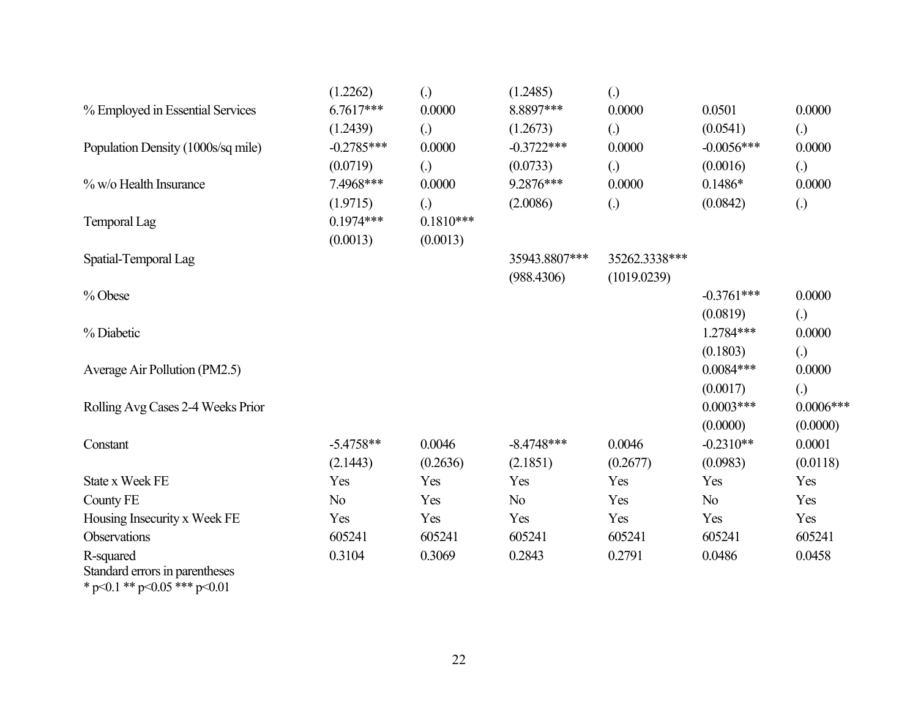|                                                                   | (1.2262)       | $\left( .\right)$ | (1.2485)       | $\left( .\right)$ |                |                   |
|-------------------------------------------------------------------|----------------|-------------------|----------------|-------------------|----------------|-------------------|
| % Employed in Essential Services                                  | $6.7617***$    | 0.0000            | 8.8897***      | 0.0000            | 0.0501         | 0.0000            |
|                                                                   | (1.2439)       | $\left( .\right)$ | (1.2673)       | (.)               | (0.0541)       | (.)               |
| Population Density (1000s/sq mile)                                | $-0.2785***$   | 0.0000            | $-0.3722***$   | 0.0000            | $-0.0056$ ***  | 0.0000            |
|                                                                   | (0.0719)       | $\left( .\right)$ | (0.0733)       | $\left( .\right)$ | (0.0016)       | $\left( .\right)$ |
| % w/o Health Insurance                                            | 7.4968***      | 0.0000            | 9.2876***      | 0.0000            | $0.1486*$      | 0.0000            |
|                                                                   | (1.9715)       | $\left( .\right)$ | (2.0086)       | $\left( .\right)$ | (0.0842)       | (.)               |
| Temporal Lag                                                      | $0.1974***$    | $0.1810***$       |                |                   |                |                   |
|                                                                   | (0.0013)       | (0.0013)          |                |                   |                |                   |
| Spatial-Temporal Lag                                              |                |                   | 35943.8807***  | 35262.3338***     |                |                   |
|                                                                   |                |                   | (988.4306)     | (1019.0239)       |                |                   |
| % Obese                                                           |                |                   |                |                   | $-0.3761***$   | 0.0000            |
|                                                                   |                |                   |                |                   | (0.0819)       | (.)               |
| % Diabetic                                                        |                |                   |                |                   | $1.2784***$    | 0.0000            |
|                                                                   |                |                   |                |                   | (0.1803)       | (.)               |
| Average Air Pollution (PM2.5)                                     |                |                   |                |                   | $0.0084***$    | 0.0000            |
|                                                                   |                |                   |                |                   | (0.0017)       | $\left( .\right)$ |
| Rolling Avg Cases 2-4 Weeks Prior                                 |                |                   |                |                   | $0.0003***$    | $0.0006***$       |
|                                                                   |                |                   |                |                   | (0.0000)       | (0.0000)          |
| Constant                                                          | $-5.4758**$    | 0.0046            | $-8.4748***$   | 0.0046            | $-0.2310**$    | 0.0001            |
|                                                                   | (2.1443)       | (0.2636)          | (2.1851)       | (0.2677)          | (0.0983)       | (0.0118)          |
| State x Week FE                                                   | Yes            | Yes               | Yes            | Yes               | Yes            | Yes               |
| County FE                                                         | N <sub>o</sub> | Yes               | N <sub>o</sub> | Yes               | N <sub>o</sub> | Yes               |
| Housing Insecurity x Week FE                                      | Yes            | Yes               | Yes            | Yes               | Yes            | Yes               |
| Observations                                                      | 605241         | 605241            | 605241         | 605241            | 605241         | 605241            |
| R-squared                                                         | 0.3104         | 0.3069            | 0.2843         | 0.2791            | 0.0486         | 0.0458            |
| Standard errors in parentheses<br>$20.1 + 4 + 20.07 + 44 + 20.01$ |                |                   |                |                   |                |                   |

\* p<0.1 \*\* p<0.05 \*\*\* p<0.01